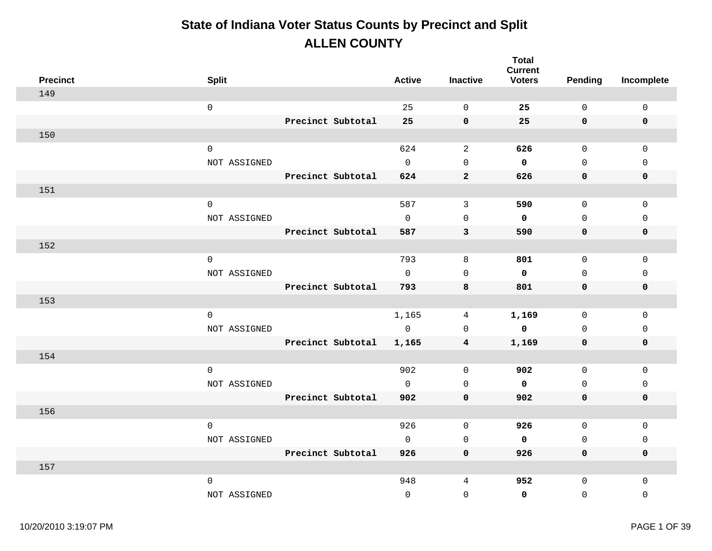| <b>Precinct</b> | <b>Split</b>        |                   | <b>Active</b>       | <b>Inactive</b> | <b>Total</b><br><b>Current</b><br><b>Voters</b> | Pending      | Incomplete   |
|-----------------|---------------------|-------------------|---------------------|-----------------|-------------------------------------------------|--------------|--------------|
| 149             |                     |                   |                     |                 |                                                 |              |              |
|                 | $\mathsf{O}\xspace$ |                   | 25                  | $\Omega$        | 25                                              | $\mathbf 0$  | $\mathbf 0$  |
|                 |                     | Precinct Subtotal | 25                  | $\mathbf 0$     | 25                                              | $\mathbf 0$  | $\mathbf 0$  |
| 150             |                     |                   |                     |                 |                                                 |              |              |
|                 | $\mathsf 0$         |                   | 624                 | 2               | 626                                             | $\mathbf 0$  | $\Omega$     |
|                 | NOT ASSIGNED        |                   | $\mathbf 0$         | $\mathsf 0$     | $\mathbf 0$                                     | $\mathbf 0$  | $\mathbf{0}$ |
|                 |                     | Precinct Subtotal | 624                 | $\mathbf{2}$    | 626                                             | 0            | $\mathbf 0$  |
| 151             |                     |                   |                     |                 |                                                 |              |              |
|                 | $\mathbf 0$         |                   | 587                 | $\mathbf{3}$    | 590                                             | 0            | $\mathbf 0$  |
|                 | NOT ASSIGNED        |                   | $\mathsf{O}$        | $\mathbf{0}$    | $\mathbf 0$                                     | 0            | $\mathsf{O}$ |
|                 |                     | Precinct Subtotal | 587                 | 3               | 590                                             | 0            | $\mathbf 0$  |
| 152             |                     |                   |                     |                 |                                                 |              |              |
|                 | $\mathsf 0$         |                   | 793                 | 8               | 801                                             | 0            | 0            |
|                 | NOT ASSIGNED        |                   | $\mathbf 0$         | $\Omega$        | $\mathbf 0$                                     | $\mathbf 0$  | $\mathbf{0}$ |
|                 |                     | Precinct Subtotal | 793                 | 8               | 801                                             | 0            | $\mathbf 0$  |
| 153             |                     |                   |                     |                 |                                                 |              |              |
|                 | $\mathsf 0$         |                   | 1,165               | 4               | 1,169                                           | $\mathsf{O}$ | $\mathbf 0$  |
|                 | NOT ASSIGNED        |                   | $\mathsf{O}\xspace$ | $\mathbf{0}$    | $\mathbf 0$                                     | 0            | $\mathbf 0$  |
|                 |                     | Precinct Subtotal | 1,165               | 4               | 1,169                                           | 0            | $\mathbf 0$  |
| 154             |                     |                   |                     |                 |                                                 |              |              |
|                 | $\mathsf 0$         |                   | 902                 | $\mathbf 0$     | 902                                             | $\mathsf{O}$ | $\mathbf 0$  |
|                 | NOT ASSIGNED        |                   | $\mathsf{O}$        | $\mathbf 0$     | $\mathbf 0$                                     | 0            | $\mathsf{O}$ |
|                 |                     | Precinct Subtotal | 902                 | 0               | 902                                             | 0            | $\mathbf 0$  |
| 156             |                     |                   |                     |                 |                                                 |              |              |
|                 | $\mathbf 0$         |                   | 926                 | $\mathbf 0$     | 926                                             | 0            | $\mathsf{O}$ |
|                 | NOT ASSIGNED        |                   | $\mathsf{O}$        | $\mathbf 0$     | $\mathbf 0$                                     | 0            | $\mathbf 0$  |
|                 |                     | Precinct Subtotal | 926                 | $\mathbf 0$     | 926                                             | 0            | $\mathbf 0$  |
| 157             |                     |                   |                     |                 |                                                 |              |              |
|                 | $\mathsf 0$         |                   | 948                 | 4               | 952                                             | $\mathbf 0$  | $\mathbf 0$  |
|                 | NOT ASSIGNED        |                   | $\mathbf 0$         | $\mathsf 0$     | $\mathbf 0$                                     | $\mathsf 0$  | $\mathbf 0$  |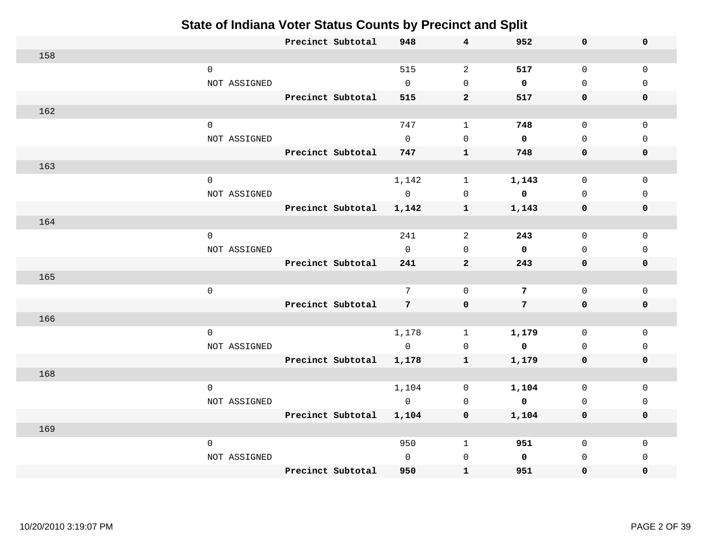|     |                     |              | Precinct Subtotal | 948             | $\overline{\mathbf{4}}$ | 952                     | 0           | $\mathbf 0$  |
|-----|---------------------|--------------|-------------------|-----------------|-------------------------|-------------------------|-------------|--------------|
| 158 |                     |              |                   |                 |                         |                         |             |              |
|     | $\mathbf 0$         |              |                   | 515             | $\overline{a}$          | 517                     | 0           | $\mathbf{0}$ |
|     |                     | NOT ASSIGNED |                   | $\mathbf 0$     | $\mathbf 0$             | $\mathbf 0$             | $\mathbf 0$ | $\Omega$     |
|     |                     |              | Precinct Subtotal | 515             | $\overline{2}$          | 517                     | 0           | $\mathbf 0$  |
| 162 |                     |              |                   |                 |                         |                         |             |              |
|     | $\mathsf{O}\xspace$ |              |                   | 747             | $\mathbf 1$             | 748                     | 0           | $\mathbf{0}$ |
|     |                     | NOT ASSIGNED |                   | $\Omega$        | $\Omega$                | $\mathbf 0$             | $\Omega$    | $\mathbf 0$  |
|     |                     |              | Precinct Subtotal | 747             | $\mathbf{1}$            | 748                     | 0           | $\mathbf 0$  |
| 163 |                     |              |                   |                 |                         |                         |             |              |
|     | $\mathbf 0$         |              |                   | 1,142           | $\mathbf 1$             | 1,143                   | 0           | $\Omega$     |
|     |                     | NOT ASSIGNED |                   | $\mathbf 0$     | $\Omega$                | $\mathbf 0$             | $\mathbf 0$ | $\mathbf{0}$ |
|     |                     |              | Precinct Subtotal | 1,142           | $\mathbf{1}$            | 1,143                   | 0           | $\mathbf 0$  |
| 164 |                     |              |                   |                 |                         |                         |             |              |
|     | $\mathbf 0$         |              |                   | 241             | 2                       | 243                     | 0           | $\mathbf{0}$ |
|     |                     | NOT ASSIGNED |                   | $\mathbf 0$     | $\mathbf 0$             | $\mathbf 0$             | $\mathbf 0$ | $\Omega$     |
|     |                     |              | Precinct Subtotal | 241             | $\overline{2}$          | 243                     | 0           | $\mathbf 0$  |
| 165 |                     |              |                   |                 |                         |                         |             |              |
|     | $\mathsf{O}\xspace$ |              |                   | $7\phantom{.0}$ | $\mathbf 0$             | $7\phantom{.0}$         | $\mathbf 0$ | $\mathbf{0}$ |
|     |                     |              | Precinct Subtotal | $7\overline{ }$ | $\mathbf 0$             | $7\overline{ }$         | 0           | $\mathbf 0$  |
| 166 |                     |              |                   |                 |                         |                         |             |              |
|     | $\mathsf 0$         |              |                   | 1,178           | $\mathbf 1$             | 1,179                   | 0           | $\mathbf{0}$ |
|     |                     | NOT ASSIGNED |                   | $\overline{0}$  | $\mathsf{O}$            | $\overline{\mathbf{0}}$ | $\Omega$    | $\mathbf 0$  |
|     |                     |              | Precinct Subtotal | 1,178           | $\mathbf{1}$            | 1,179                   | 0           | $\mathbf 0$  |
| 168 |                     |              |                   |                 |                         |                         |             |              |
|     | $\mathsf 0$         |              |                   | 1,104           | $\Omega$                | 1,104                   | 0           | $\mathbf 0$  |
|     |                     | NOT ASSIGNED |                   | $\overline{0}$  | $\Omega$                | $\overline{\mathbf{0}}$ | $\mathbf 0$ | $\Omega$     |
|     |                     |              | Precinct Subtotal | 1,104           | 0                       | 1,104                   | 0           | $\mathbf 0$  |
| 169 |                     |              |                   |                 |                         |                         |             |              |
|     | $\mathbf 0$         |              |                   | 950             | $\mathbf{1}$            | 951                     | 0           | 0            |
|     |                     | NOT ASSIGNED |                   | $\mathbf 0$     | $\mathbf 0$             | $\mathbf 0$             | $\mathbf 0$ | $\Omega$     |
|     |                     |              | Precinct Subtotal | 950             | $\mathbf{1}$            | 951                     | 0           | 0            |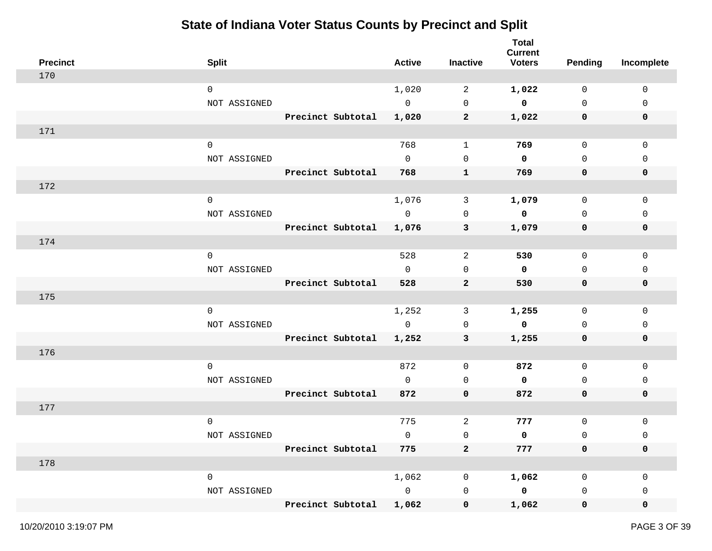| <b>Precinct</b> | <b>Split</b> |                   | <b>Active</b>  | Inactive       | <b>Total</b><br><b>Current</b><br><b>Voters</b> | <b>Pending</b> | Incomplete  |
|-----------------|--------------|-------------------|----------------|----------------|-------------------------------------------------|----------------|-------------|
| 170             |              |                   |                |                |                                                 |                |             |
|                 | $\mathbf 0$  |                   | 1,020          | 2              | 1,022                                           | $\mathbf 0$    | $\mathbf 0$ |
|                 | NOT ASSIGNED |                   | $\mathbf 0$    | $\mathbf 0$    | $\mathbf 0$                                     | $\mathbf 0$    | 0           |
|                 |              | Precinct Subtotal | 1,020          | $\mathbf{2}$   | 1,022                                           | 0              | $\mathbf 0$ |
| 171             |              |                   |                |                |                                                 |                |             |
|                 | $\mathbf 0$  |                   | 768            | $\mathbf{1}$   | 769                                             | $\mathsf{O}$   | $\mathsf 0$ |
|                 | NOT ASSIGNED |                   | $\overline{0}$ | $\mathbf 0$    | $\mathbf 0$                                     | $\mathbf 0$    | 0           |
|                 |              | Precinct Subtotal | 768            | $\mathbf{1}$   | 769                                             | 0              | 0           |
| 172             |              |                   |                |                |                                                 |                |             |
|                 | $\mathsf{O}$ |                   | 1,076          | 3              | 1,079                                           | $\mathsf{O}$   | 0           |
|                 | NOT ASSIGNED |                   | $\overline{0}$ | 0              | $\mathbf 0$                                     | $\mathbf 0$    | 0           |
|                 |              | Precinct Subtotal | 1,076          | 3              | 1,079                                           | 0              | 0           |
| 174             |              |                   |                |                |                                                 |                |             |
|                 | $\mathbf 0$  |                   | 528            | 2              | 530                                             | 0              | 0           |
|                 | NOT ASSIGNED |                   | $\mathsf{O}$   | 0              | $\mathbf 0$                                     | $\mathbf 0$    | 0           |
|                 |              | Precinct Subtotal | 528            | $\mathbf{2}$   | 530                                             | 0              | 0           |
| 175             |              |                   |                |                |                                                 |                |             |
|                 | $\mathbf 0$  |                   | 1,252          | 3              | 1,255                                           | 0              | $\mathbf 0$ |
|                 | NOT ASSIGNED |                   | $\mathbf 0$    | 0              | $\mathbf 0$                                     | 0              | 0           |
|                 |              | Precinct Subtotal | 1,252          | 3              | 1,255                                           | 0              | 0           |
| 176             |              |                   |                |                |                                                 |                |             |
|                 | $\mathbf 0$  |                   | 872            | 0              | 872                                             | 0              | 0           |
|                 | NOT ASSIGNED |                   | $\mathbf{0}$   | $\mathbf 0$    | 0                                               | $\mathbf 0$    | 0           |
|                 |              | Precinct Subtotal | 872            | 0              | 872                                             | 0              | 0           |
| 177             |              |                   |                |                |                                                 |                |             |
|                 | $\mathbf 0$  |                   | 775            | $\overline{c}$ | 777                                             | $\mathsf{O}$   | 0           |
|                 | NOT ASSIGNED |                   | 0              | $\mathsf 0$    | 0                                               | $\mathsf 0$    | 0           |
|                 |              | Precinct Subtotal | 775            | $\bf{2}$       | 777                                             | 0              | 0           |
| 178             |              |                   |                |                |                                                 |                |             |
|                 | $\mathsf{O}$ |                   | 1,062          | 0              | 1,062                                           | 0              | 0           |
|                 | NOT ASSIGNED |                   | $\overline{0}$ | 0              | $\mathbf 0$                                     | 0              | 0           |
|                 |              | Precinct Subtotal | 1,062          | 0              | 1,062                                           | $\mathbf 0$    | 0           |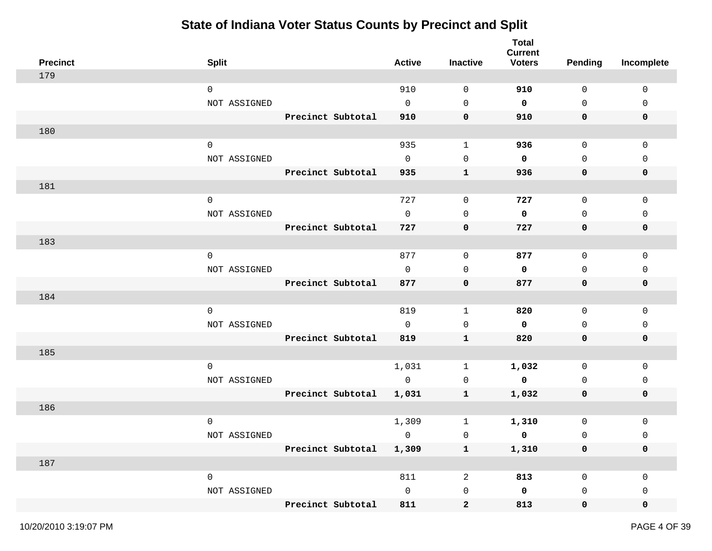| <b>Precinct</b> | <b>Split</b> |                         | <b>Active</b> | <b>Inactive</b> | <b>Total</b><br><b>Current</b><br><b>Voters</b> | <b>Pending</b>      | Incomplete   |
|-----------------|--------------|-------------------------|---------------|-----------------|-------------------------------------------------|---------------------|--------------|
| 179             |              |                         |               |                 |                                                 |                     |              |
|                 | $\mathbf 0$  |                         | 910           | 0               | 910                                             | $\mathsf{O}$        | $\mathbf 0$  |
|                 | NOT ASSIGNED |                         | $\mathbf 0$   | $\mathbf 0$     | 0                                               | $\mathsf{O}$        | 0            |
|                 |              | Precinct Subtotal       | 910           | 0               | 910                                             | 0                   | 0            |
| 180             |              |                         |               |                 |                                                 |                     |              |
|                 | $\mathbf 0$  |                         | 935           | $\mathbf{1}$    | 936                                             | $\mathsf{O}$        | $\mathsf 0$  |
|                 | NOT ASSIGNED |                         | $\mathbf 0$   | 0               | $\mathbf 0$                                     | $\mathbf 0$         | $\mathbf{0}$ |
|                 |              | Precinct Subtotal       | 935           | $\mathbf{1}$    | 936                                             | $\mathbf 0$         | 0            |
| 181             |              |                         |               |                 |                                                 |                     |              |
|                 | $\mathsf{O}$ |                         | 727           | $\mathsf{O}$    | 727                                             | $\mathsf{O}$        | $\mathsf 0$  |
|                 | NOT ASSIGNED |                         | $\mathbf 0$   | 0               | 0                                               | $\mathsf{O}\xspace$ | $\mathbf{0}$ |
|                 |              | Precinct Subtotal       | 727           | 0               | 727                                             | 0                   | 0            |
| 183             |              |                         |               |                 |                                                 |                     |              |
|                 | $\mathbf 0$  |                         | 877           | 0               | 877                                             | $\mathsf{O}$        | 0            |
|                 | NOT ASSIGNED |                         | $\mathbf 0$   | 0               | 0                                               | 0                   | 0            |
|                 |              | Precinct Subtotal       | 877           | 0               | 877                                             | 0                   | 0            |
| 184             |              |                         |               |                 |                                                 |                     |              |
|                 | $\mathbf 0$  |                         | 819           | $\mathbf{1}$    | 820                                             | $\mathsf{O}$        | $\mathbf 0$  |
|                 | NOT ASSIGNED |                         | $\mathbf 0$   | 0               | 0                                               | 0                   | 0            |
|                 |              | Precinct Subtotal       | 819           | ${\bf 1}$       | 820                                             | 0                   | 0            |
| 185             |              |                         |               |                 |                                                 |                     |              |
|                 | $\mathbf 0$  |                         | 1,031         | 1               | 1,032                                           | 0                   | 0            |
|                 | NOT ASSIGNED |                         | $\mathbf 0$   | 0               | 0                                               | 0                   | 0            |
|                 |              | Precinct Subtotal       | 1,031         | $\mathbf{1}$    | 1,032                                           | 0                   | 0            |
| 186             |              |                         |               |                 |                                                 |                     |              |
|                 | $\mathbf 0$  |                         | 1,309         | $\mathbf 1$     | 1,310                                           | $\mathsf{O}\xspace$ | 0            |
|                 | NOT ASSIGNED |                         | $\mathbf 0$   | $\mathsf{O}$    | 0                                               | $\mathsf 0$         | 0            |
|                 |              | Precinct Subtotal 1,309 |               | $\mathbf{1}$    | 1,310                                           | $\mathbf 0$         | 0            |
| 187             |              |                         |               |                 |                                                 |                     |              |
|                 | $\mathsf{O}$ |                         | 811           | $\overline{a}$  | 813                                             | $\mathsf{O}$        | $\mathbf 0$  |
|                 | NOT ASSIGNED |                         | $\mathbf 0$   | $\mathsf{O}$    | $\mathbf 0$                                     | 0                   | 0            |
|                 |              | Precinct Subtotal       | 811           | $\mathbf{2}$    | 813                                             | $\mathbf 0$         | 0            |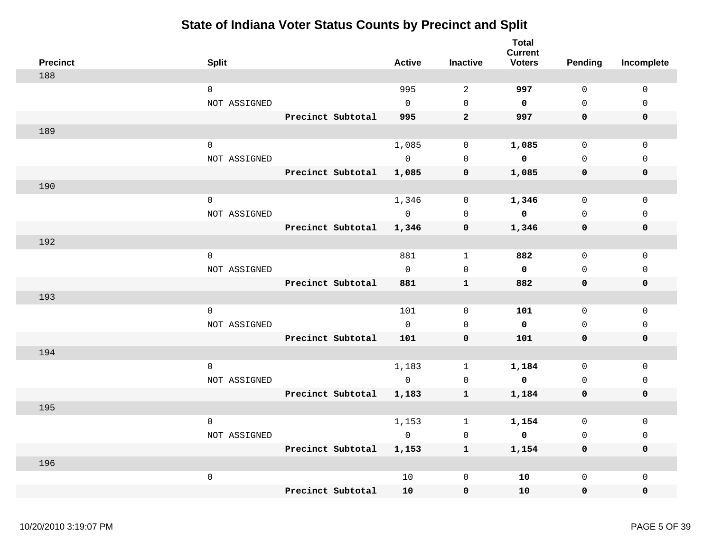| <b>Precinct</b> | <b>Split</b>        |                   | <b>Active</b>  | <b>Inactive</b> | <b>Total</b><br><b>Current</b><br><b>Voters</b> | Pending      | Incomplete   |
|-----------------|---------------------|-------------------|----------------|-----------------|-------------------------------------------------|--------------|--------------|
| 188             |                     |                   |                |                 |                                                 |              |              |
|                 | $\mathbf 0$         |                   | 995            | 2               | 997                                             | $\Omega$     | $\mathbf 0$  |
|                 | NOT ASSIGNED        |                   | $\Omega$       | $\Omega$        | $\mathbf 0$                                     | $\Omega$     | $\Omega$     |
|                 |                     | Precinct Subtotal | 995            | $\overline{2}$  | 997                                             | $\mathbf 0$  | $\mathbf 0$  |
| 189             |                     |                   |                |                 |                                                 |              |              |
|                 | $\mathbf 0$         |                   | 1,085          | $\mathbf 0$     | 1,085                                           | $\mathsf{O}$ | $\mathbf 0$  |
|                 | NOT ASSIGNED        |                   | $\Omega$       | $\Omega$        | $\mathbf 0$                                     | $\Omega$     | $\Omega$     |
|                 |                     | Precinct Subtotal | 1,085          | $\mathbf 0$     | 1,085                                           | $\mathbf 0$  | $\mathbf 0$  |
| 190             |                     |                   |                |                 |                                                 |              |              |
|                 | $\mathbf 0$         |                   | 1,346          | 0               | 1,346                                           | $\mathbf 0$  | $\mathbf{0}$ |
|                 | NOT ASSIGNED        |                   | $\overline{0}$ | $\mathbf 0$     | $\mathbf 0$                                     | $\mathbf 0$  | $\mathbf{0}$ |
|                 |                     | Precinct Subtotal | 1,346          | $\mathbf 0$     | 1,346                                           | 0            | $\mathbf 0$  |
| 192             |                     |                   |                |                 |                                                 |              |              |
|                 | $\mathbf 0$         |                   | 881            | $\mathbf{1}$    | 882                                             | $\mathbf 0$  | $\mathbf{0}$ |
|                 | NOT ASSIGNED        |                   | $\overline{0}$ | $\mathbf 0$     | $\mathbf 0$                                     | $\mathbf 0$  | $\mathbf 0$  |
|                 |                     | Precinct Subtotal | 881            | $\mathbf{1}$    | 882                                             | 0            | 0            |
| 193             |                     |                   |                |                 |                                                 |              |              |
|                 | $\mathbf 0$         |                   | 101            | $\mathbf 0$     | 101                                             | $\Omega$     | $\Omega$     |
|                 | NOT ASSIGNED        |                   | $\Omega$       | $\mathbf 0$     | $\mathbf 0$                                     | $\Omega$     | $\mathbf{0}$ |
|                 |                     | Precinct Subtotal | 101            | $\mathbf 0$     | 101                                             | $\mathbf 0$  | $\mathbf 0$  |
| 194             |                     |                   |                |                 |                                                 |              |              |
|                 | $\Omega$            |                   | 1,183          | $\mathbf{1}$    | 1,184                                           | $\Omega$     | $\Omega$     |
|                 | NOT ASSIGNED        |                   | $\overline{0}$ | $\mathbf 0$     | $\overline{\mathbf{0}}$                         | $\mathbf 0$  | $\mathbf 0$  |
|                 |                     | Precinct Subtotal | 1,183          | $\mathbf{1}$    | 1,184                                           | 0            | 0            |
| 195             |                     |                   |                |                 |                                                 |              |              |
|                 | $\mathbf 0$         |                   | 1,153          | 1               | 1,154                                           | $\mathbf 0$  | $\mathbf{0}$ |
|                 | NOT ASSIGNED        |                   | $\overline{0}$ | $\mathbf 0$     | $\mathbf{o}$                                    | $\Omega$     | $\mathbf 0$  |
|                 |                     | Precinct Subtotal | 1,153          | 1               | 1,154                                           | 0            | $\mathbf 0$  |
| 196             |                     |                   |                |                 |                                                 |              |              |
|                 | $\mathsf{O}\xspace$ |                   | 10             | 0               | 10                                              | $\mathsf{O}$ | 0            |
|                 |                     | Precinct Subtotal | 10             | $\mathbf 0$     | 10                                              | 0            | 0            |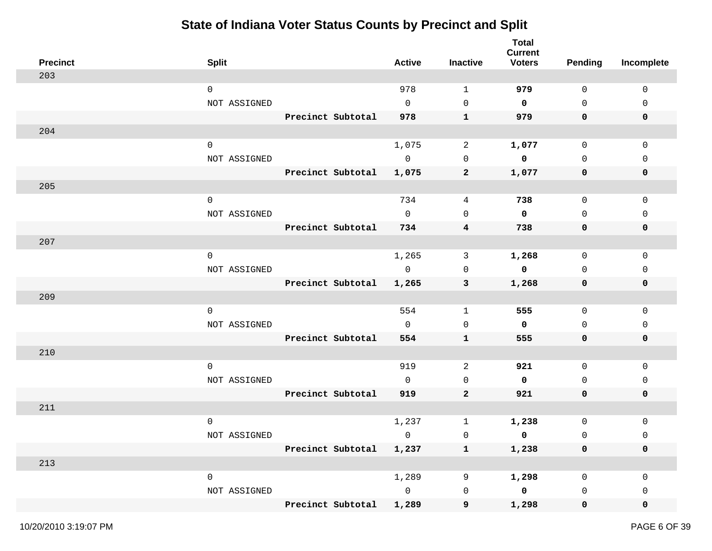| <b>Precinct</b> | <b>Split</b> |                         | <b>Active</b>  | <b>Inactive</b>         | <b>Total</b><br><b>Current</b><br><b>Voters</b> | <b>Pending</b> | Incomplete   |
|-----------------|--------------|-------------------------|----------------|-------------------------|-------------------------------------------------|----------------|--------------|
| 203             |              |                         |                |                         |                                                 |                |              |
|                 | $\mathsf{O}$ |                         | 978            | $\mathbf 1$             | 979                                             | $\mathbf 0$    | $\mathbf 0$  |
|                 | NOT ASSIGNED |                         | $\mathsf{O}$   | 0                       | $\mathbf 0$                                     | $\mathbf 0$    | 0            |
|                 |              | Precinct Subtotal       | 978            | $\mathbf{1}$            | 979                                             | 0              | 0            |
| 204             |              |                         |                |                         |                                                 |                |              |
|                 | $\mathsf{O}$ |                         | 1,075          | $\overline{a}$          | 1,077                                           | $\mathbf 0$    | $\mathbf 0$  |
|                 | NOT ASSIGNED |                         | $\overline{0}$ | $\mathbf 0$             | 0                                               | $\mathbf 0$    | $\Omega$     |
|                 |              | Precinct Subtotal       | 1,075          | $\mathbf{2}$            | 1,077                                           | 0              | 0            |
| 205             |              |                         |                |                         |                                                 |                |              |
|                 | $\mathsf 0$  |                         | 734            | 4                       | 738                                             | $\mathsf{O}$   | $\mathbf 0$  |
|                 | NOT ASSIGNED |                         | $\mathbf{0}$   | $\mathbf 0$             | $\mathbf 0$                                     | $\mathbf 0$    | $\Omega$     |
|                 |              | Precinct Subtotal       | 734            | $\overline{\mathbf{4}}$ | 738                                             | 0              | 0            |
| 207             |              |                         |                |                         |                                                 |                |              |
|                 | 0            |                         | 1,265          | 3                       | 1,268                                           | $\mathbf 0$    | $\mathbf{0}$ |
|                 | NOT ASSIGNED |                         | $\mathsf 0$    | 0                       | $\mathbf 0$                                     | 0              | 0            |
|                 |              | Precinct Subtotal       | 1,265          | 3                       | 1,268                                           | 0              | 0            |
| 209             |              |                         |                |                         |                                                 |                |              |
|                 | $\mathsf{O}$ |                         | 554            | $\mathbf{1}$            | 555                                             | 0              | $\mathbf 0$  |
|                 | NOT ASSIGNED |                         | $\mathsf{O}$   | 0                       | 0                                               | $\mathbf 0$    | 0            |
|                 |              | Precinct Subtotal       | 554            | $\mathbf{1}$            | 555                                             | 0              | 0            |
| 210             |              |                         |                |                         |                                                 |                |              |
|                 | $\mathsf{O}$ |                         | 919            | $\overline{a}$          | 921                                             | $\mathbf 0$    | $\mathbf 0$  |
|                 | NOT ASSIGNED |                         | $\Omega$       | $\mathbf 0$             | 0                                               | $\mathbf 0$    | 0            |
|                 |              | Precinct Subtotal       | 919            | $\mathbf{2}$            | 921                                             | $\mathbf 0$    | 0            |
| 211             |              |                         |                |                         |                                                 |                |              |
|                 | $\mathbf 0$  |                         | 1,237          | $\mathbf 1$             | 1,238                                           | 0              | 0            |
|                 | NOT ASSIGNED |                         | 0              | 0                       | 0                                               | $\mathbf 0$    | 0            |
|                 |              | Precinct Subtotal 1,237 |                | $\mathbf{1}$            | 1,238                                           | 0              | 0            |
| 213             |              |                         |                |                         |                                                 |                |              |
|                 | 0            |                         | 1,289          | 9                       | 1,298                                           | 0              | 0            |
|                 | NOT ASSIGNED |                         | $\overline{0}$ | $\mathsf{O}\xspace$     | $\mathbf 0$                                     | 0              | 0            |
|                 |              | Precinct Subtotal       | 1,289          | 9                       | 1,298                                           | 0              | 0            |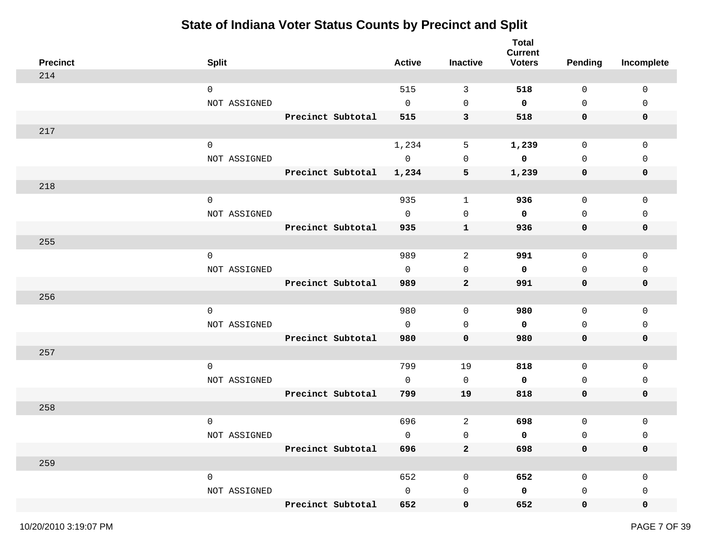| <b>Precinct</b> | <b>Split</b>        |                   | <b>Active</b> | Inactive            | <b>Total</b><br><b>Current</b><br><b>Voters</b> | <b>Pending</b> | Incomplete   |
|-----------------|---------------------|-------------------|---------------|---------------------|-------------------------------------------------|----------------|--------------|
| 214             |                     |                   |               |                     |                                                 |                |              |
|                 | $\mathbf 0$         |                   | 515           | 3                   | 518                                             | 0              | $\mathbf{0}$ |
|                 | NOT ASSIGNED        |                   | $\mathbf{0}$  | $\mathsf{O}$        | 0                                               | 0              | 0            |
|                 |                     | Precinct Subtotal | 515           | 3                   | 518                                             | 0              | 0            |
| 217             |                     |                   |               |                     |                                                 |                |              |
|                 | $\mathbf 0$         |                   | 1,234         | 5                   | 1,239                                           | $\mathsf{O}$   | $\mathbf 0$  |
|                 | NOT ASSIGNED        |                   | $\mathbf 0$   | $\mathbf 0$         | 0                                               | $\mathbf 0$    | $\mathbf 0$  |
|                 |                     | Precinct Subtotal | 1,234         | 5                   | 1,239                                           | 0              | 0            |
| 218             |                     |                   |               |                     |                                                 |                |              |
|                 | $\mathsf{O}\xspace$ |                   | 935           | $\mathbf{1}$        | 936                                             | $\mathsf{O}$   | $\mathsf{O}$ |
|                 | NOT ASSIGNED        |                   | $\mathbf 0$   | $\mathbf 0$         | 0                                               | $\mathbf 0$    | $\mathbf 0$  |
|                 |                     | Precinct Subtotal | 935           | $\mathbf{1}$        | 936                                             | 0              | 0            |
| 255             |                     |                   |               |                     |                                                 |                |              |
|                 | $\mathsf{O}\xspace$ |                   | 989           | 2                   | 991                                             | 0              | $\mathbf 0$  |
|                 | NOT ASSIGNED        |                   | $\mathbf 0$   | $\mathbf 0$         | 0                                               | 0              | $\mathbf 0$  |
|                 |                     | Precinct Subtotal | 989           | $\mathbf{2}$        | 991                                             | 0              | 0            |
| 256             |                     |                   |               |                     |                                                 |                |              |
|                 | $\mathbf 0$         |                   | 980           | $\mathsf{O}$        | 980                                             | 0              | $\mathbf 0$  |
|                 | NOT ASSIGNED        |                   | $\mathbf 0$   | $\mathbf 0$         | 0                                               | $\mathbf 0$    | 0            |
|                 |                     | Precinct Subtotal | 980           | $\mathbf 0$         | 980                                             | 0              | 0            |
| 257             |                     |                   |               |                     |                                                 |                |              |
|                 | $\mathbf 0$         |                   | 799           | 19                  | 818                                             | 0              | $\mathbf 0$  |
|                 | NOT ASSIGNED        |                   | $\mathbf 0$   | $\mathsf{O}$        | 0                                               | 0              | 0            |
|                 |                     | Precinct Subtotal | 799           | 19                  | 818                                             | $\mathbf 0$    | 0            |
| 258             |                     |                   |               |                     |                                                 |                |              |
|                 | $\mathbf 0$         |                   | 696           | 2                   | 698                                             | $\mathsf{O}$   | 0            |
|                 | NOT ASSIGNED        |                   | 0             | $\mathsf{O}\xspace$ | 0                                               | 0              | 0            |
|                 |                     | Precinct Subtotal | 696           | $\mathbf{2}$        | 698                                             | 0              | 0            |
| 259             |                     |                   |               |                     |                                                 |                |              |
|                 | $\mathsf{O}\xspace$ |                   | 652           | 0                   | 652                                             | $\mathsf{O}$   | $\mathbf 0$  |
|                 | NOT ASSIGNED        |                   | $\mathsf{O}$  | $\mathsf{O}$        | 0                                               | 0              | $\mathbf 0$  |
|                 |                     | Precinct Subtotal | 652           | 0                   | 652                                             | $\mathbf 0$    | 0            |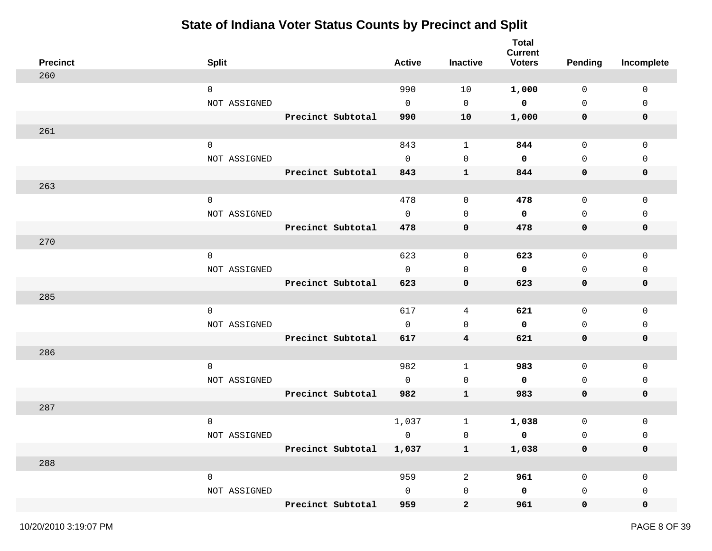| <b>Precinct</b> | <b>Split</b>        |                   | <b>Active</b> | <b>Inactive</b>         | <b>Total</b><br><b>Current</b><br><b>Voters</b> | <b>Pending</b>      | Incomplete  |
|-----------------|---------------------|-------------------|---------------|-------------------------|-------------------------------------------------|---------------------|-------------|
| 260             |                     |                   |               |                         |                                                 |                     |             |
|                 | $\mathsf{O}$        |                   | 990           | 10                      | 1,000                                           | $\mathbf 0$         | $\mathbf 0$ |
|                 | NOT ASSIGNED        |                   | 0             | 0                       | $\mathbf 0$                                     | $\mathsf{O}$        | 0           |
|                 |                     | Precinct Subtotal | 990           | 10                      | 1,000                                           | 0                   | 0           |
| 261             |                     |                   |               |                         |                                                 |                     |             |
|                 | $\mathsf{O}\xspace$ |                   | 843           | $\mathbf 1$             | 844                                             | $\mathsf{O}$        | 0           |
|                 | NOT ASSIGNED        |                   | $\mathbf 0$   | 0                       | $\mathbf 0$                                     | $\mathbf 0$         | 0           |
|                 |                     | Precinct Subtotal | 843           | $\mathbf{1}$            | 844                                             | 0                   | 0           |
| 263             |                     |                   |               |                         |                                                 |                     |             |
|                 | $\mathsf{O}\xspace$ |                   | 478           | $\mathsf{O}\xspace$     | 478                                             | $\mathsf{O}$        | $\mathsf 0$ |
|                 | NOT ASSIGNED        |                   | $\mathbf 0$   | 0                       | 0                                               | $\mathbf 0$         | 0           |
|                 |                     | Precinct Subtotal | 478           | 0                       | 478                                             | 0                   | 0           |
| 270             |                     |                   |               |                         |                                                 |                     |             |
|                 | $\mathsf{O}$        |                   | 623           | 0                       | 623                                             | 0                   | 0           |
|                 | NOT ASSIGNED        |                   | 0             | 0                       | 0                                               | 0                   | 0           |
|                 |                     | Precinct Subtotal | 623           | 0                       | 623                                             | 0                   | 0           |
| 285             |                     |                   |               |                         |                                                 |                     |             |
|                 | $\mathbf 0$         |                   | 617           | 4                       | 621                                             | $\mathsf{O}\xspace$ | $\mathbf 0$ |
|                 | NOT ASSIGNED        |                   | 0             | 0                       | 0                                               | 0                   | 0           |
|                 |                     | Precinct Subtotal | 617           | $\overline{\mathbf{4}}$ | 621                                             | 0                   | 0           |
| 286             |                     |                   |               |                         |                                                 |                     |             |
|                 | $\mathbf 0$         |                   | 982           | $\mathbf{1}$            | 983                                             | $\mathsf{O}$        | $\mathbf 0$ |
|                 | NOT ASSIGNED        |                   | $\Omega$      | 0                       | 0                                               | 0                   | 0           |
|                 |                     | Precinct Subtotal | 982           | ${\bf 1}$               | 983                                             | 0                   | 0           |
| 287             |                     |                   |               |                         |                                                 |                     |             |
|                 | $\mathbf 0$         |                   | 1,037         | 1                       | 1,038                                           | $\mathsf{O}\xspace$ | 0           |
|                 | NOT ASSIGNED        |                   | $\mathbf 0$   | 0                       | 0                                               | 0                   | 0           |
|                 |                     | Precinct Subtotal | 1,037         | $\mathbf{1}$            | 1,038                                           | $\pmb{0}$           | 0           |
| 288             |                     |                   |               |                         |                                                 |                     |             |
|                 | $\mathsf{O}\xspace$ |                   | 959           | $\overline{a}$          | 961                                             | $\mathsf{O}$        | 0           |
|                 | NOT ASSIGNED        |                   | $\mathsf{O}$  | $\mathsf 0$             | $\pmb{0}$                                       | 0                   | 0           |
|                 |                     | Precinct Subtotal | 959           | $\boldsymbol{2}$        | 961                                             | $\mathbf 0$         | 0           |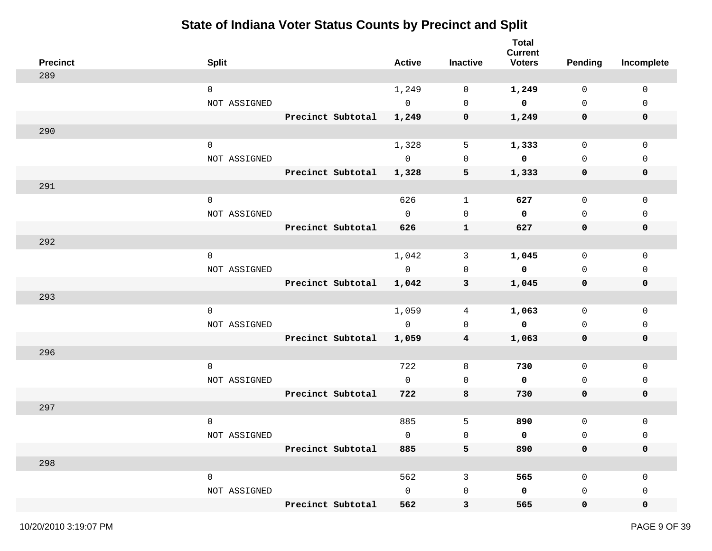| <b>Precinct</b> | <b>Split</b> |                   | <b>Active</b>  | <b>Inactive</b>         | <b>Total</b><br><b>Current</b><br><b>Voters</b> | <b>Pending</b> | Incomplete   |
|-----------------|--------------|-------------------|----------------|-------------------------|-------------------------------------------------|----------------|--------------|
| 289             |              |                   |                |                         |                                                 |                |              |
|                 | $\mathbf 0$  |                   | 1,249          | 0                       | 1,249                                           | $\mathbf 0$    | $\mathbf 0$  |
|                 | NOT ASSIGNED |                   | $\overline{0}$ | $\mathbf 0$             | $\overline{\mathbf{0}}$                         | $\mathbf 0$    | 0            |
|                 |              | Precinct Subtotal | 1,249          | 0                       | 1,249                                           | 0              | $\mathbf 0$  |
| 290             |              |                   |                |                         |                                                 |                |              |
|                 | $\mathbf 0$  |                   | 1,328          | 5                       | 1,333                                           | $\mathsf{O}$   | $\mathsf 0$  |
|                 | NOT ASSIGNED |                   | $\overline{0}$ | 0                       | 0                                               | $\mathbf 0$    | $\mathbf{0}$ |
|                 |              | Precinct Subtotal | 1,328          | $\overline{\mathbf{5}}$ | 1,333                                           | 0              | 0            |
| 291             |              |                   |                |                         |                                                 |                |              |
|                 | $\mathsf{O}$ |                   | 626            | $\mathbf{1}$            | 627                                             | $\mathsf{O}$   | $\mathbf 0$  |
|                 | NOT ASSIGNED |                   | $\Omega$       | $\mathbf 0$             | $\mathbf 0$                                     | $\mathbf 0$    | 0            |
|                 |              | Precinct Subtotal | 626            | $\mathbf{1}$            | 627                                             | 0              | 0            |
| 292             |              |                   |                |                         |                                                 |                |              |
|                 | $\mathbf 0$  |                   | 1,042          | 3                       | 1,045                                           | 0              | 0            |
|                 | NOT ASSIGNED |                   | $\overline{0}$ | $\mathbf 0$             | $\mathbf{o}$                                    | $\mathbf 0$    | 0            |
|                 |              | Precinct Subtotal | 1,042          | $\mathbf{3}$            | 1,045                                           | 0              | 0            |
| 293             |              |                   |                |                         |                                                 |                |              |
|                 | $\mathbf 0$  |                   | 1,059          | 4                       | 1,063                                           | 0              | $\mathbf 0$  |
|                 | NOT ASSIGNED |                   | $\overline{0}$ | 0                       | $\mathbf 0$                                     | 0              | 0            |
|                 |              | Precinct Subtotal | 1,059          | 4                       | 1,063                                           | 0              | 0            |
| 296             |              |                   |                |                         |                                                 |                |              |
|                 | $\mathbf 0$  |                   | 722            | 8                       | 730                                             | 0              | 0            |
|                 | NOT ASSIGNED |                   | $\overline{0}$ | $\mathbf 0$             | $\mathbf 0$                                     | $\mathbf 0$    | 0            |
|                 |              | Precinct Subtotal | 722            | 8                       | 730                                             | 0              | 0            |
| 297             |              |                   |                |                         |                                                 |                |              |
|                 | $\mathbf 0$  |                   | 885            | 5                       | 890                                             | $\mathsf{O}$   | 0            |
|                 | NOT ASSIGNED |                   | 0              | $\mathsf 0$             | 0                                               | $\mathsf 0$    | 0            |
|                 |              | Precinct Subtotal | 885            | 5                       | 890                                             | $\mathbf 0$    | 0            |
| 298             |              |                   |                |                         |                                                 |                |              |
|                 | $\mathsf{O}$ |                   | 562            | $\mathsf{3}$            | 565                                             | $\mathsf{O}$   | 0            |
|                 | NOT ASSIGNED |                   | $\mathsf{O}$   | $\mathsf{O}$            | 0                                               | 0              | $\mathbf{0}$ |
|                 |              | Precinct Subtotal | 562            | 3                       | 565                                             | $\mathbf 0$    | 0            |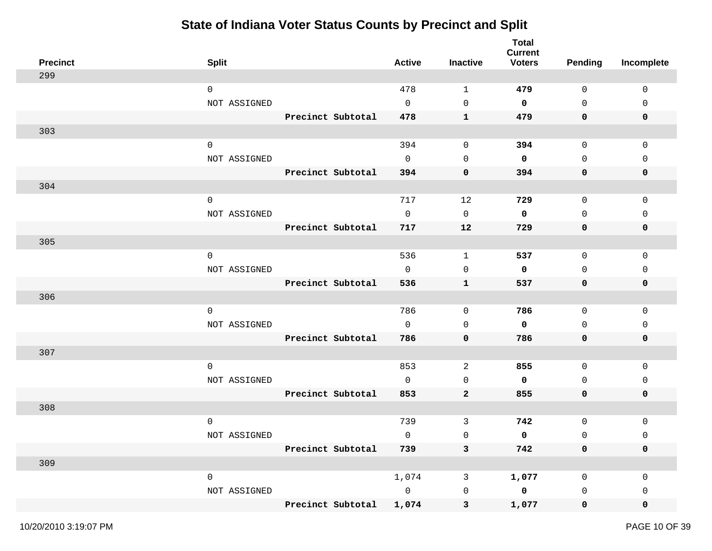| <b>Precinct</b> | <b>Split</b>        |                   | <b>Active</b>  | Inactive     | <b>Total</b><br><b>Current</b><br><b>Voters</b> | <b>Pending</b> | Incomplete   |
|-----------------|---------------------|-------------------|----------------|--------------|-------------------------------------------------|----------------|--------------|
| 299             |                     |                   |                |              |                                                 |                |              |
|                 | $\mathbf 0$         |                   | 478            | 1            | 479                                             | 0              | 0            |
|                 | NOT ASSIGNED        |                   | $\mathbf 0$    | $\mathbf 0$  | 0                                               | $\mathsf{O}$   | 0            |
|                 |                     | Precinct Subtotal | 478            | $\mathbf{1}$ | 479                                             | 0              | 0            |
| 303             |                     |                   |                |              |                                                 |                |              |
|                 | $\mathbf 0$         |                   | 394            | 0            | 394                                             | $\mathsf{O}$   | 0            |
|                 | NOT ASSIGNED        |                   | $\mathbf 0$    | 0            | $\mathbf 0$                                     | $\mathbf 0$    | $\mathbf{0}$ |
|                 |                     | Precinct Subtotal | 394            | 0            | 394                                             | 0              | 0            |
| 304             |                     |                   |                |              |                                                 |                |              |
|                 | $\mathsf{O}\xspace$ |                   | 717            | 12           | 729                                             | $\mathsf{O}$   | 0            |
|                 | NOT ASSIGNED        |                   | $\mathbf 0$    | $\mathbf 0$  | 0                                               | $\mathsf{O}$   | 0            |
|                 |                     | Precinct Subtotal | 717            | 12           | 729                                             | 0              | 0            |
| 305             |                     |                   |                |              |                                                 |                |              |
|                 | $\mathsf{O}\xspace$ |                   | 536            | $\mathbf{1}$ | 537                                             | 0              | 0            |
|                 | NOT ASSIGNED        |                   | $\mathsf{O}$   | 0            | 0                                               | 0              | 0            |
|                 |                     | Precinct Subtotal | 536            | $\mathbf{1}$ | 537                                             | 0              | 0            |
| 306             |                     |                   |                |              |                                                 |                |              |
|                 | $\mathbf 0$         |                   | 786            | 0            | 786                                             | $\mathsf{O}$   | $\mathbf 0$  |
|                 | NOT ASSIGNED        |                   | $\mathsf{O}$   | 0            | 0                                               | 0              | 0            |
|                 |                     | Precinct Subtotal | 786            | 0            | 786                                             | 0              | 0            |
| 307             |                     |                   |                |              |                                                 |                |              |
|                 | $\mathbf 0$         |                   | 853            | 2            | 855                                             | 0              | 0            |
|                 | NOT ASSIGNED        |                   | $\mathbf 0$    | 0            | 0                                               | 0              | 0            |
|                 |                     | Precinct Subtotal | 853            | $\mathbf 2$  | 855                                             | 0              | 0            |
| 308             |                     |                   |                |              |                                                 |                |              |
|                 | $\mathbf 0$         |                   | 739            | 3            | 742                                             | $\mathsf 0$    | 0            |
|                 | NOT ASSIGNED        |                   | $\mathbf 0$    | $\mathsf 0$  | 0                                               | $\mathsf 0$    | 0            |
|                 |                     | Precinct Subtotal | 739            | $\mathbf{3}$ | 742                                             | 0              | 0            |
| 309             |                     |                   |                |              |                                                 |                |              |
|                 | $\mathsf{O}\xspace$ |                   | 1,074          | 3            | 1,077                                           | 0              | 0            |
|                 | NOT ASSIGNED        |                   | $\overline{0}$ | $\mathsf 0$  | $\mathbf 0$                                     | 0              | 0            |
|                 |                     | Precinct Subtotal | 1,074          | 3            | 1,077                                           | $\mathbf 0$    | 0            |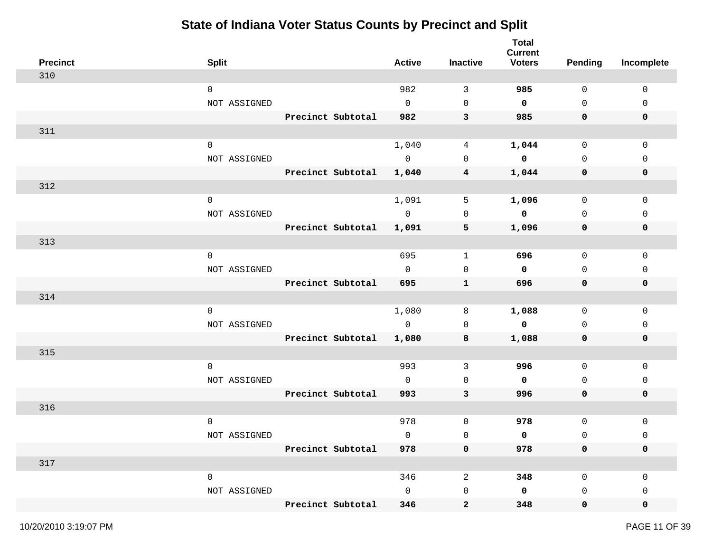| <b>Precinct</b> | <b>Split</b>        |                   | <b>Active</b>  | <b>Inactive</b> | <b>Total</b><br><b>Current</b><br><b>Voters</b> | <b>Pending</b> | Incomplete   |
|-----------------|---------------------|-------------------|----------------|-----------------|-------------------------------------------------|----------------|--------------|
| 310             |                     |                   |                |                 |                                                 |                |              |
|                 | $\mathbf 0$         |                   | 982            | 3               | 985                                             | $\mathbf 0$    | $\mathbf 0$  |
|                 | NOT ASSIGNED        |                   | $\mathsf{O}$   | $\mathbf 0$     | $\mathbf 0$                                     | $\mathbf 0$    | 0            |
|                 |                     | Precinct Subtotal | 982            | 3               | 985                                             | 0              | $\mathbf 0$  |
| 311             |                     |                   |                |                 |                                                 |                |              |
|                 | $\mathbf 0$         |                   | 1,040          | 4               | 1,044                                           | $\mathsf{O}$   | $\mathsf 0$  |
|                 | NOT ASSIGNED        |                   | $\overline{0}$ | $\mathbf 0$     | $\mathbf 0$                                     | $\mathbf 0$    | $\mathbf{0}$ |
|                 |                     | Precinct Subtotal | 1,040          | 4               | 1,044                                           | 0              | 0            |
| 312             |                     |                   |                |                 |                                                 |                |              |
|                 | $\mathsf{O}\xspace$ |                   | 1,091          | 5               | 1,096                                           | $\mathsf{O}$   | $\mathsf 0$  |
|                 | NOT ASSIGNED        |                   | $\overline{0}$ | $\mathbf 0$     | $\mathbf 0$                                     | $\mathbf 0$    | 0            |
|                 |                     | Precinct Subtotal | 1,091          | 5               | 1,096                                           | 0              | 0            |
| 313             |                     |                   |                |                 |                                                 |                |              |
|                 | $\mathbf 0$         |                   | 695            | $\mathbf{1}$    | 696                                             | 0              | 0            |
|                 | NOT ASSIGNED        |                   | $\mathbf 0$    | $\mathbf 0$     | $\mathbf 0$                                     | $\mathbf 0$    | 0            |
|                 |                     | Precinct Subtotal | 695            | $\mathbf{1}$    | 696                                             | 0              | 0            |
| 314             |                     |                   |                |                 |                                                 |                |              |
|                 | $\mathbf 0$         |                   | 1,080          | 8               | 1,088                                           | 0              | $\mathbf 0$  |
|                 | NOT ASSIGNED        |                   | $\overline{0}$ | $\mathbf 0$     | $\mathbf 0$                                     | 0              | 0            |
|                 |                     | Precinct Subtotal | 1,080          | 8               | 1,088                                           | 0              | 0            |
| 315             |                     |                   |                |                 |                                                 |                |              |
|                 | $\mathbf 0$         |                   | 993            | 3               | 996                                             | 0              | 0            |
|                 | NOT ASSIGNED        |                   | $\mathbf{0}$   | $\mathbf 0$     | 0                                               | 0              | 0            |
|                 |                     | Precinct Subtotal | 993            | $\mathbf{3}$    | 996                                             | $\mathbf 0$    | 0            |
| 316             |                     |                   |                |                 |                                                 |                |              |
|                 | $\mathbf 0$         |                   | 978            | 0               | 978                                             | $\mathsf{O}$   | 0            |
|                 | NOT ASSIGNED        |                   | 0              | $\mathsf 0$     | 0                                               | $\mathsf 0$    | 0            |
|                 |                     | Precinct Subtotal | 978            | 0               | 978                                             | $\mathbf 0$    | 0            |
| 317             |                     |                   |                |                 |                                                 |                |              |
|                 | $\mathsf{O}\xspace$ |                   | 346            | $\overline{c}$  | 348                                             | $\mathsf{O}$   | 0            |
|                 | NOT ASSIGNED        |                   | $\mathsf{O}$   | $\mathsf{O}$    | 0                                               | 0              | 0            |
|                 |                     | Precinct Subtotal | 346            | $\mathbf{2}$    | 348                                             | $\mathbf 0$    | 0            |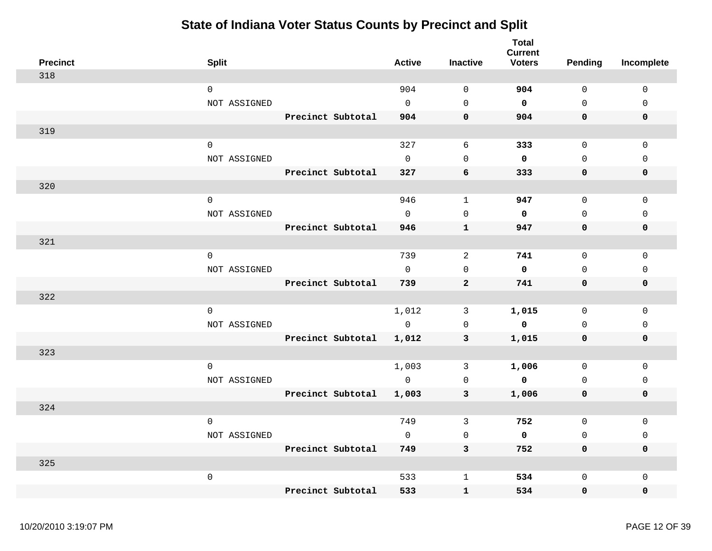| <b>Precinct</b> | <b>Split</b>        |                   | <b>Active</b>  | <b>Inactive</b> | <b>Total</b><br><b>Current</b><br><b>Voters</b> | Pending     | Incomplete   |
|-----------------|---------------------|-------------------|----------------|-----------------|-------------------------------------------------|-------------|--------------|
| 318             |                     |                   |                |                 |                                                 |             |              |
|                 | $\mathbf 0$         |                   | 904            | $\mathbf 0$     | 904                                             | $\mathbf 0$ | $\mathbf 0$  |
|                 | NOT ASSIGNED        |                   | $\Omega$       | $\Omega$        | $\mathbf 0$                                     | $\Omega$    | $\mathbf{0}$ |
|                 |                     | Precinct Subtotal | 904            | $\mathbf 0$     | 904                                             | $\mathbf 0$ | $\mathbf 0$  |
| 319             |                     |                   |                |                 |                                                 |             |              |
|                 | $\mathbf 0$         |                   | 327            | 6               | 333                                             | $\mathbf 0$ | $\mathbf 0$  |
|                 | NOT ASSIGNED        |                   | $\Omega$       | $\mathbf 0$     | $\mathbf 0$                                     | $\mathbf 0$ | $\mathbf 0$  |
|                 |                     | Precinct Subtotal | 327            | 6               | 333                                             | $\mathbf 0$ | 0            |
| 320             |                     |                   |                |                 |                                                 |             |              |
|                 | $\mathsf{O}\xspace$ |                   | 946            | $\mathbf{1}$    | 947                                             | $\Omega$    | $\mathsf 0$  |
|                 | NOT ASSIGNED        |                   | $\Omega$       | $\Omega$        | 0                                               | $\Omega$    | $\Omega$     |
|                 |                     | Precinct Subtotal | 946            | $\mathbf{1}$    | 947                                             | $\mathbf 0$ | $\mathbf 0$  |
| 321             |                     |                   |                |                 |                                                 |             |              |
|                 | $\mathbf 0$         |                   | 739            | 2               | 741                                             | $\mathbf 0$ | $\mathbf 0$  |
|                 | NOT ASSIGNED        |                   | $\overline{0}$ | $\mathbf 0$     | $\mathbf 0$                                     | 0           | 0            |
|                 |                     | Precinct Subtotal | 739            | $\mathbf{2}$    | 741                                             | $\mathbf 0$ | $\mathbf 0$  |
| 322             |                     |                   |                |                 |                                                 |             |              |
|                 | $\mathbf 0$         |                   | 1,012          | 3               | 1,015                                           | $\mathbf 0$ | $\mathbf 0$  |
|                 | NOT ASSIGNED        |                   | $\mathbf 0$    | $\mathbf 0$     | $\mathbf 0$                                     | $\mathbf 0$ | $\mathbf 0$  |
|                 |                     | Precinct Subtotal | 1,012          | 3               | 1,015                                           | $\mathbf 0$ | 0            |
| 323             |                     |                   |                |                 |                                                 |             |              |
|                 | $\mathbf 0$         |                   | 1,003          | 3               | 1,006                                           | $\mathbf 0$ | $\mathbf 0$  |
|                 | NOT ASSIGNED        |                   | $\mathbf 0$    | $\mathbf 0$     | $\mathbf 0$                                     | $\mathbf 0$ | $\mathsf 0$  |
|                 |                     | Precinct Subtotal | 1,003          | $\mathbf{3}$    | 1,006                                           | $\mathbf 0$ | $\mathbf 0$  |
| 324             |                     |                   |                |                 |                                                 |             |              |
|                 | $\mathbf{0}$        |                   | 749            | 3               | 752                                             | $\mathbf 0$ | $\mathbf 0$  |
|                 | NOT ASSIGNED        |                   | $\mathbf 0$    | $\mathbf 0$     | $\mathbf 0$                                     | $\mathbf 0$ | 0            |
|                 |                     | Precinct Subtotal | 749            | 3               | 752                                             | $\mathbf 0$ | 0            |
| 325             |                     |                   |                |                 |                                                 |             |              |
|                 | $\mathsf{O}\xspace$ |                   | 533            | $\mathbf{1}$    | 534                                             | $\Omega$    | $\Omega$     |
|                 |                     | Precinct Subtotal | 533            | $\mathbf{1}$    | 534                                             | $\mathbf 0$ | 0            |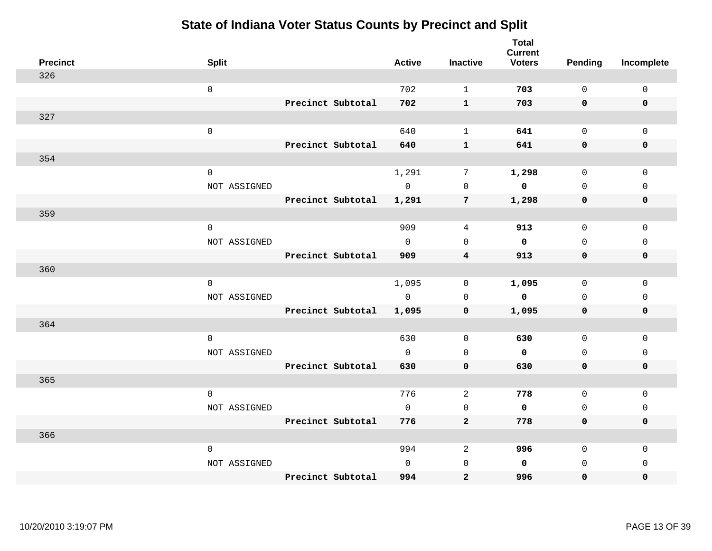| <b>Precinct</b> | <b>Split</b> |                   | <b>Active</b> | <b>Inactive</b>         | <b>Total</b><br><b>Current</b><br><b>Voters</b> | <b>Pending</b> | Incomplete  |
|-----------------|--------------|-------------------|---------------|-------------------------|-------------------------------------------------|----------------|-------------|
| 326             |              |                   |               |                         |                                                 |                |             |
|                 | $\mathsf 0$  |                   | 702           | $\mathbf{1}$            | 703                                             | $\mathbf 0$    | $\mathbf 0$ |
|                 |              | Precinct Subtotal | 702           | $\mathbf{1}$            | 703                                             | $\mathbf 0$    | $\mathbf 0$ |
| 327             |              |                   |               |                         |                                                 |                |             |
|                 | $\mathsf 0$  |                   | 640           | $\mathbf{1}$            | 641                                             | $\mathsf{O}$   | $\Omega$    |
|                 |              | Precinct Subtotal | 640           | $\mathbf 1$             | 641                                             | $\mathbf 0$    | $\pmb{0}$   |
| 354             |              |                   |               |                         |                                                 |                |             |
|                 | $\mathsf 0$  |                   | 1,291         | $7\phantom{.0}$         | 1,298                                           | $\mathsf{O}$   | $\mathbf 0$ |
|                 | NOT ASSIGNED |                   | $\mathbf 0$   | $\mathbf 0$             | 0                                               | $\mathbf 0$    | $\mathbf 0$ |
|                 |              | Precinct Subtotal | 1,291         | 7                       | 1,298                                           | 0              | $\mathbf 0$ |
| 359             |              |                   |               |                         |                                                 |                |             |
|                 | $\mathsf 0$  |                   | 909           | 4                       | 913                                             | $\mathsf{O}$   | $\mathsf 0$ |
|                 | NOT ASSIGNED |                   | $\mathbf 0$   | $\mathbf 0$             | 0                                               | $\mathbf 0$    | $\mathbf 0$ |
|                 |              | Precinct Subtotal | 909           | $\overline{\mathbf{4}}$ | 913                                             | $\mathbf 0$    | $\mathbf 0$ |
| 360             |              |                   |               |                         |                                                 |                |             |
|                 | $\mathbf 0$  |                   | 1,095         | 0                       | 1,095                                           | 0              | 0           |
|                 | NOT ASSIGNED |                   | $\Omega$      | $\mathbf 0$             | 0                                               | $\mathbf 0$    | $\mathbf 0$ |
|                 |              | Precinct Subtotal | 1,095         | $\mathbf 0$             | 1,095                                           | $\mathbf 0$    | $\pmb{0}$   |
| 364             |              |                   |               |                         |                                                 |                |             |
|                 | $\mathbf 0$  |                   | 630           | $\mathbf 0$             | 630                                             | $\mathbf 0$    | $\mathbf 0$ |
|                 | NOT ASSIGNED |                   | $\mathbf 0$   | $\mathsf 0$             | 0                                               | $\mathbf 0$    | $\mathsf 0$ |
|                 |              | Precinct Subtotal | 630           | $\mathbf 0$             | 630                                             | $\mathbf 0$    | $\mathbf 0$ |
| 365             |              |                   |               |                         |                                                 |                |             |
|                 | $\mathbf 0$  |                   | 776           | 2                       | 778                                             | $\mathbf 0$    | $\mathsf 0$ |
|                 | NOT ASSIGNED |                   | $\mathbf 0$   | 0                       | 0                                               | $\mathbf 0$    | $\mathbf 0$ |
|                 |              | Precinct Subtotal | 776           | $\mathbf{2}$            | 778                                             | $\mathbf 0$    | 0           |
| 366             |              |                   |               |                         |                                                 |                |             |
|                 | 0            |                   | 994           | 2                       | 996                                             | $\mathbf 0$    | $\mathbf 0$ |
|                 | NOT ASSIGNED |                   | $\mathbf 0$   | $\mathbf 0$             | 0                                               | $\mathbf 0$    | $\mathbf 0$ |
|                 |              | Precinct Subtotal | 994           | $\mathbf{2}$            | 996                                             | 0              | 0           |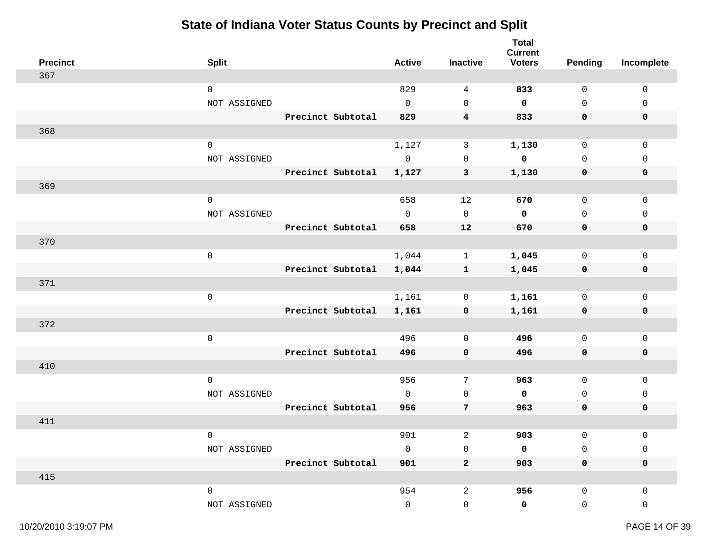| <b>Precinct</b> | <b>Split</b>        |                   | <b>Active</b> | <b>Inactive</b>     | <b>Total</b><br><b>Current</b><br><b>Voters</b> | <b>Pending</b>      | Incomplete  |
|-----------------|---------------------|-------------------|---------------|---------------------|-------------------------------------------------|---------------------|-------------|
| 367             |                     |                   |               |                     |                                                 |                     |             |
|                 | $\mathsf{O}\xspace$ |                   | 829           | $\overline{4}$      | 833                                             | $\mathsf{O}\xspace$ | $\mathsf 0$ |
|                 | NOT ASSIGNED        |                   | $\mathbf 0$   | $\mathbf 0$         | $\mathbf 0$                                     | $\mathbf 0$         | $\mathbf 0$ |
|                 |                     | Precinct Subtotal | 829           | $\overline{4}$      | 833                                             | 0                   | $\mathbf 0$ |
| 368             |                     |                   |               |                     |                                                 |                     |             |
|                 | $\mathsf{O}\xspace$ |                   | 1,127         | $\mathbf{3}$        | 1,130                                           | $\mathsf{O}$        | $\mathsf 0$ |
|                 | NOT ASSIGNED        |                   | $\mathsf{O}$  | $\mathbf 0$         | $\mathbf 0$                                     | $\mathbf 0$         | $\mathsf 0$ |
|                 |                     | Precinct Subtotal | 1,127         | 3                   | 1,130                                           | 0                   | 0           |
| 369             |                     |                   |               |                     |                                                 |                     |             |
|                 | $\mathbf 0$         |                   | 658           | 12                  | 670                                             | $\mathsf{O}$        | $\mathsf 0$ |
|                 | NOT ASSIGNED        |                   | $\mathbf 0$   | $\mathsf{O}\xspace$ | $\mathbf 0$                                     | $\mathsf 0$         | $\mathsf 0$ |
|                 |                     | Precinct Subtotal | 658           | 12                  | 670                                             | $\mathbf 0$         | $\pmb{0}$   |
| 370             |                     |                   |               |                     |                                                 |                     |             |
|                 | $\mathsf{O}\xspace$ |                   | 1,044         | $\mathbf{1}$        | 1,045                                           | $\mathsf{O}$        | $\mathbf 0$ |
|                 |                     | Precinct Subtotal | 1,044         | $\mathbf{1}$        | 1,045                                           | $\mathbf 0$         | 0           |
| 371             |                     |                   |               |                     |                                                 |                     |             |
|                 | $\mathbf 0$         |                   | 1,161         | 0                   | 1,161                                           | $\mathsf{O}$        | $\mathbf 0$ |
|                 |                     | Precinct Subtotal | 1,161         | 0                   | 1,161                                           | 0                   | 0           |
| 372             |                     |                   |               |                     |                                                 |                     |             |
|                 | $\mathsf{O}\xspace$ |                   | 496           | $\mathbf 0$         | 496                                             | $\mathsf{O}$        | $\mathsf 0$ |
|                 |                     | Precinct Subtotal | 496           | $\mathbf 0$         | 496                                             | $\mathbf 0$         | $\mathbf 0$ |
| 410             |                     |                   |               |                     |                                                 |                     |             |
|                 | $\mathbf 0$         |                   | 956           | $7\phantom{.0}$     | 963                                             | $\mathbf 0$         | $\mathbf 0$ |
|                 | NOT ASSIGNED        |                   | $\mathbf 0$   | $\mathbf 0$         | $\mathbf 0$                                     | $\mathbf 0$         | $\mathbf 0$ |
|                 |                     | Precinct Subtotal | 956           | $\overline{7}$      | 963                                             | $\mathbf 0$         | $\mathbf 0$ |
| 411             |                     |                   |               |                     |                                                 |                     |             |
|                 | $\mathbf 0$         |                   | 901           | 2                   | 903                                             | $\mathsf{O}$        | $\mathsf 0$ |
|                 | NOT ASSIGNED        |                   | $\mathbf 0$   | $\mathbf 0$         | 0                                               | $\mathsf{O}$        | $\mathsf 0$ |
|                 |                     | Precinct Subtotal | 901           | $\overline{a}$      | 903                                             | $\mathbf 0$         | $\mathbf 0$ |
| 415             |                     |                   |               |                     |                                                 |                     |             |
|                 | $\mathsf{O}\xspace$ |                   | 954           | $\overline{c}$      | 956                                             | $\mathsf{O}$        | 0           |
|                 | NOT ASSIGNED        |                   | $\Omega$      | 0                   | 0                                               | $\mathsf{O}$        | 0           |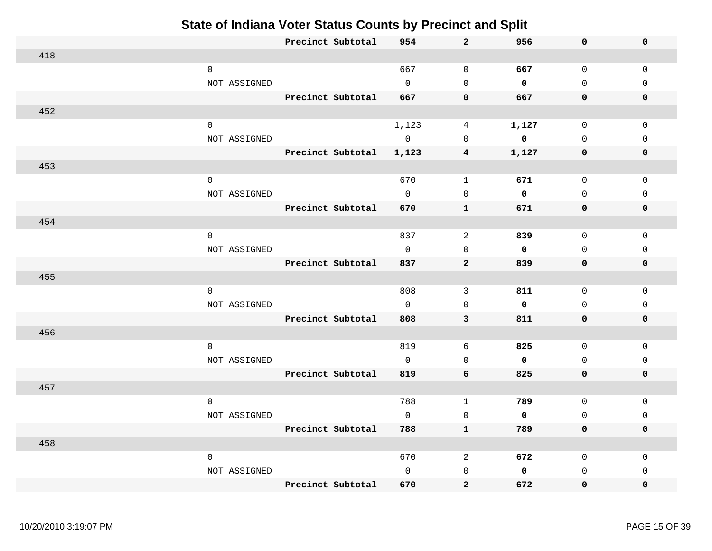|     |                     | Precinct Subtotal | 954            | $\mathbf{2}$            | 956         | 0            | $\mathbf 0$  |
|-----|---------------------|-------------------|----------------|-------------------------|-------------|--------------|--------------|
| 418 |                     |                   |                |                         |             |              |              |
|     | $\mathsf{O}\xspace$ |                   | 667            | $\mathbb O$             | 667         | $\mathbf 0$  | $\mathbf{0}$ |
|     | NOT ASSIGNED        |                   | $\Omega$       | $\Omega$                | $\mathbf 0$ | $\mathbf 0$  | $\Omega$     |
|     |                     | Precinct Subtotal | 667            | $\pmb{0}$               | 667         | 0            | $\mathbf 0$  |
| 452 |                     |                   |                |                         |             |              |              |
|     | $\mathsf{O}\xspace$ |                   | 1,123          | 4                       | 1,127       | $\mathsf 0$  | $\mathsf 0$  |
|     | NOT ASSIGNED        |                   | $\mathbf 0$    | $\Omega$                | $\mathbf 0$ | 0            | 0            |
|     |                     | Precinct Subtotal | 1,123          | 4                       | 1,127       | 0            | $\mathbf 0$  |
| 453 |                     |                   |                |                         |             |              |              |
|     | $\mathbf 0$         |                   | 670            | $\mathbf{1}$            | 671         | 0            | 0            |
|     | NOT ASSIGNED        |                   | $\overline{0}$ | 0                       | $\mathbf 0$ | $\mathbf 0$  | 0            |
|     |                     | Precinct Subtotal | 670            | $\mathbf{1}$            | 671         | 0            | 0            |
| 454 |                     |                   |                |                         |             |              |              |
|     | $\mathbf 0$         |                   | 837            | 2                       | 839         | $\mathbf 0$  | $\mathbf 0$  |
|     | NOT ASSIGNED        |                   | $\mathbf 0$    | $\mathbf 0$             | $\mathbf 0$ | $\mathbf 0$  | $\mathbf 0$  |
|     |                     | Precinct Subtotal | 837            | $\mathbf{2}$            | 839         | 0            | $\mathbf 0$  |
| 455 |                     |                   |                |                         |             |              |              |
|     | $\mathbf 0$         |                   | 808            | $\mathbf{3}$            | 811         | $\mathsf{O}$ | $\mathbf 0$  |
|     | NOT ASSIGNED        |                   | $\Omega$       | $\mathbf{0}$            | $\mathbf 0$ | $\mathbf{0}$ | $\Omega$     |
|     |                     | Precinct Subtotal | 808            | 3                       | 811         | 0            | $\mathbf 0$  |
| 456 |                     |                   |                |                         |             |              |              |
|     | 0                   |                   | 819            | 6                       | 825         | $\mathbf 0$  | $\mathbf{0}$ |
|     | NOT ASSIGNED        |                   | $\mathbf 0$    | $\mathbf{0}$            | $\mathbf 0$ | 0            | 0            |
|     |                     | Precinct Subtotal | 819            | 6                       | 825         | 0            | $\mathbf 0$  |
| 457 |                     |                   |                |                         |             |              |              |
|     | $\mathbf 0$         |                   | 788            | $\mathbf{1}$            | 789         | 0            | 0            |
|     | NOT ASSIGNED        |                   | $\Omega$       | $\mathbf 0$             | $\mathbf 0$ | $\mathbf{0}$ | $\Omega$     |
|     |                     | Precinct Subtotal | 788            | $\mathbf{1}$            | 789         | 0            | $\mathbf 0$  |
| 458 |                     |                   |                |                         |             |              |              |
|     | $\mathbf 0$         |                   | 670            | $\overline{c}$          | 672         | $\mathbf 0$  | 0            |
|     | NOT ASSIGNED        |                   | $\Omega$       | $\mathbf{0}$            | $\mathbf 0$ | $\mathbf 0$  | $\Omega$     |
|     |                     | Precinct Subtotal | 670            | $\overline{\mathbf{2}}$ | 672         | 0            | $\mathbf{0}$ |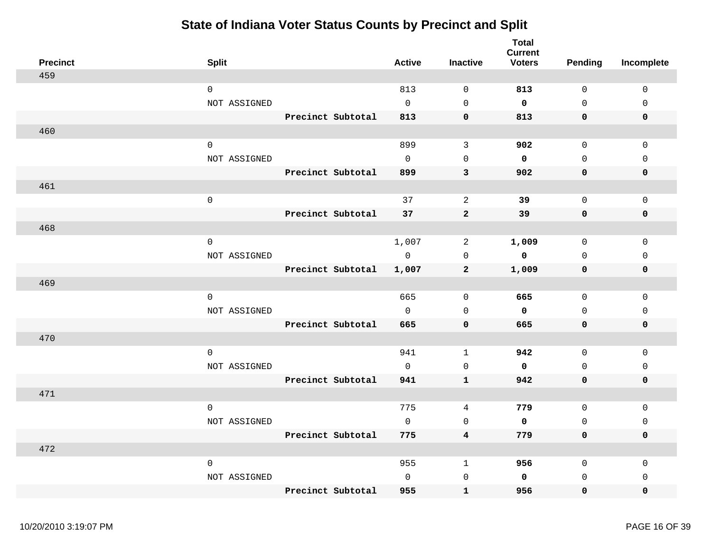| <b>Precinct</b> | <b>Split</b>        |                   | <b>Active</b> | <b>Inactive</b>         | <b>Total</b><br><b>Current</b><br><b>Voters</b> | <b>Pending</b> | Incomplete  |
|-----------------|---------------------|-------------------|---------------|-------------------------|-------------------------------------------------|----------------|-------------|
| 459             |                     |                   |               |                         |                                                 |                |             |
|                 | $\mathsf{O}$        |                   | 813           | $\mathbf 0$             | 813                                             | $\mathbf 0$    | 0           |
|                 | NOT ASSIGNED        |                   | $\Omega$      | $\mathbf 0$             | 0                                               | $\Omega$       | $\mathbf 0$ |
|                 |                     | Precinct Subtotal | 813           | $\mathbf 0$             | 813                                             | $\mathbf 0$    | 0           |
| 460             |                     |                   |               |                         |                                                 |                |             |
|                 | $\mathbf 0$         |                   | 899           | 3                       | 902                                             | $\mathbf 0$    | $\mathbf 0$ |
|                 | NOT ASSIGNED        |                   | $\Omega$      | $\mathbf 0$             | 0                                               | $\mathbf 0$    | $\mathbf 0$ |
|                 |                     | Precinct Subtotal | 899           | 3                       | 902                                             | $\mathbf 0$    | 0           |
| 461             |                     |                   |               |                         |                                                 |                |             |
|                 | $\mathsf{O}\xspace$ |                   | 37            | 2                       | 39                                              | $\mathbf 0$    | 0           |
|                 |                     | Precinct Subtotal | 37            | $\mathbf{2}$            | 39                                              | 0              | 0           |
| 468             |                     |                   |               |                         |                                                 |                |             |
|                 | $\mathsf{O}$        |                   | 1,007         | 2                       | 1,009                                           | 0              | 0           |
|                 | NOT ASSIGNED        |                   | $\mathbf 0$   | $\mathbf 0$             | 0                                               | $\mathbf 0$    | $\mathbf 0$ |
|                 |                     | Precinct Subtotal | 1,007         | $\overline{2}$          | 1,009                                           | 0              | 0           |
| 469             |                     |                   |               |                         |                                                 |                |             |
|                 | $\mathbf 0$         |                   | 665           | 0                       | 665                                             | 0              | 0           |
|                 | NOT ASSIGNED        |                   | $\mathbf{0}$  | $\mathbf 0$             | 0                                               | $\mathbf 0$    | $\mathbf 0$ |
|                 |                     | Precinct Subtotal | 665           | $\mathbf 0$             | 665                                             | $\mathbf 0$    | 0           |
| 470             |                     |                   |               |                         |                                                 |                |             |
|                 | $\mathbf 0$         |                   | 941           | $\mathbf{1}$            | 942                                             | 0              | 0           |
|                 | NOT ASSIGNED        |                   | $\mathbf{0}$  | $\mathbf 0$             | 0                                               | $\mathbf 0$    | 0           |
|                 |                     | Precinct Subtotal | 941           | $\mathbf{1}$            | 942                                             | $\mathbf 0$    | 0           |
| 471             |                     |                   |               |                         |                                                 |                |             |
|                 | $\mathbf 0$         |                   | 775           | $\overline{4}$          | 779                                             | $\mathsf{O}$   | $\mathsf 0$ |
|                 | NOT ASSIGNED        |                   | $\mathbf 0$   | $\mathbf 0$             | 0                                               | $\mathbf 0$    | $\mathsf 0$ |
|                 |                     | Precinct Subtotal | 775           | $\overline{\mathbf{4}}$ | 779                                             | $\mathbf 0$    | 0           |
| 472             |                     |                   |               |                         |                                                 |                |             |
|                 | $\mathsf{O}$        |                   | 955           | $\mathbf{1}$            | 956                                             | $\mathsf{O}$   | $\mathsf 0$ |
|                 | NOT ASSIGNED        |                   | $\mathbf 0$   | $\mathsf{O}$            | 0                                               | $\mathbf 0$    | 0           |
|                 |                     | Precinct Subtotal | 955           | $\mathbf{1}$            | 956                                             | 0              | 0           |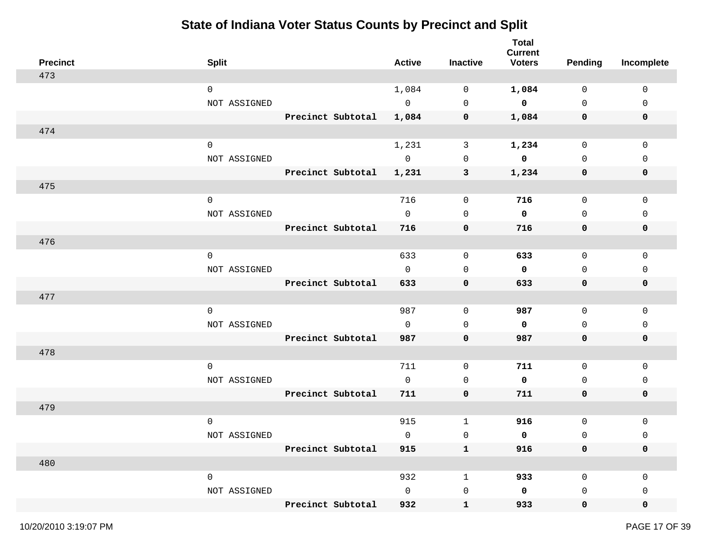| <b>Precinct</b> | <b>Split</b>        |                   | <b>Active</b> | <b>Inactive</b> | <b>Total</b><br><b>Current</b><br><b>Voters</b> | <b>Pending</b> | Incomplete  |
|-----------------|---------------------|-------------------|---------------|-----------------|-------------------------------------------------|----------------|-------------|
| 473             |                     |                   |               |                 |                                                 |                |             |
|                 | $\mathbf 0$         |                   | 1,084         | 0               | 1,084                                           | $\mathbf 0$    | $\mathbf 0$ |
|                 | NOT ASSIGNED        |                   | $\mathbb O$   | 0               | $\mathbf 0$                                     | $\mathsf{O}$   | 0           |
|                 |                     | Precinct Subtotal | 1,084         | 0               | 1,084                                           | 0              | $\mathbf 0$ |
| 474             |                     |                   |               |                 |                                                 |                |             |
|                 | $\mathbf 0$         |                   | 1,231         | $\mathbf{3}$    | 1,234                                           | $\mathsf{O}$   | 0           |
|                 | NOT ASSIGNED        |                   | $\mathsf{O}$  | 0               | 0                                               | $\mathbf 0$    | $\Omega$    |
|                 |                     | Precinct Subtotal | 1,231         | 3               | 1,234                                           | 0              | 0           |
| 475             |                     |                   |               |                 |                                                 |                |             |
|                 | $\mathsf{O}\xspace$ |                   | 716           | $\mathbf 0$     | 716                                             | $\mathsf{O}$   | $\mathbf 0$ |
|                 | NOT ASSIGNED        |                   | $\Omega$      | $\mathbf 0$     | $\mathbf 0$                                     | $\mathbf 0$    | 0           |
|                 |                     | Precinct Subtotal | 716           | 0               | 716                                             | 0              | 0           |
| 476             |                     |                   |               |                 |                                                 |                |             |
|                 | $\mathbf 0$         |                   | 633           | 0               | 633                                             | 0              | 0           |
|                 | NOT ASSIGNED        |                   | $\mathbf 0$   | 0               | 0                                               | 0              | 0           |
|                 |                     | Precinct Subtotal | 633           | 0               | 633                                             | 0              | 0           |
| 477             |                     |                   |               |                 |                                                 |                |             |
|                 | $\mathbf 0$         |                   | 987           | 0               | 987                                             | $\mathsf{O}$   | $\mathbf 0$ |
|                 | NOT ASSIGNED        |                   | $\mathbf{0}$  | 0               | 0                                               | 0              | 0           |
|                 |                     | Precinct Subtotal | 987           | $\mathbf 0$     | 987                                             | 0              | 0           |
| 478             |                     |                   |               |                 |                                                 |                |             |
|                 | $\mathbf 0$         |                   | 711           | 0               | 711                                             | $\mathbf 0$    | $\mathbf 0$ |
|                 | NOT ASSIGNED        |                   | $\Omega$      | $\mathbf 0$     | 0                                               | $\mathbf 0$    | 0           |
|                 |                     | Precinct Subtotal | 711           | $\mathbf 0$     | 711                                             | 0              | 0           |
| 479             |                     |                   |               |                 |                                                 |                |             |
|                 | $\mathbf 0$         |                   | 915           | 1               | 916                                             | $\mathsf{O}$   | 0           |
|                 | NOT ASSIGNED        |                   | 0             | 0               | 0                                               | 0              | 0           |
|                 |                     | Precinct Subtotal | 915           | $\mathbf{1}$    | 916                                             | $\mathbf 0$    | 0           |
| 480             |                     |                   |               |                 |                                                 |                |             |
|                 | $\mathsf{O}$        |                   | 932           | $\mathbf{1}$    | 933                                             | $\mathsf{O}$   | 0           |
|                 | NOT ASSIGNED        |                   | $\mathsf{O}$  | $\mathsf 0$     | 0                                               | 0              | 0           |
|                 |                     | Precinct Subtotal | 932           | $\mathbf{1}$    | 933                                             | $\mathbf 0$    | 0           |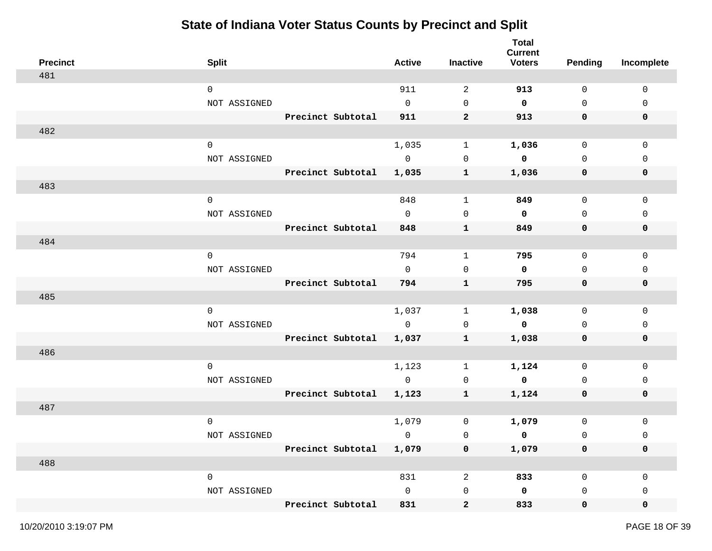| <b>Precinct</b> | <b>Split</b>        |                   | <b>Active</b> | Inactive         | <b>Total</b><br><b>Current</b><br><b>Voters</b> | <b>Pending</b>      | Incomplete  |
|-----------------|---------------------|-------------------|---------------|------------------|-------------------------------------------------|---------------------|-------------|
| 481             |                     |                   |               |                  |                                                 |                     |             |
|                 | $\mathbf 0$         |                   | 911           | 2                | 913                                             | 0                   | $\mathbf 0$ |
|                 | NOT ASSIGNED        |                   | $\mathbf 0$   | $\mathsf{O}$     | 0                                               | $\mathsf{O}$        | 0           |
|                 |                     | Precinct Subtotal | 911           | $\mathbf{2}$     | 913                                             | 0                   | $\mathbf 0$ |
| 482             |                     |                   |               |                  |                                                 |                     |             |
|                 | $\mathsf{O}$        |                   | 1,035         | 1                | 1,036                                           | $\mathsf{O}$        | 0           |
|                 | NOT ASSIGNED        |                   | $\mathbf 0$   | 0                | 0                                               | $\mathbf 0$         | $\mathbf 0$ |
|                 |                     | Precinct Subtotal | 1,035         | $\mathbf{1}$     | 1,036                                           | 0                   | 0           |
| 483             |                     |                   |               |                  |                                                 |                     |             |
|                 | $\mathsf 0$         |                   | 848           | $\mathbf 1$      | 849                                             | $\mathsf{O}$        | $\mathbf 0$ |
|                 | NOT ASSIGNED        |                   | $\mathbf 0$   | $\mathbf 0$      | $\mathbf 0$                                     | $\mathbf 0$         | $\mathbf 0$ |
|                 |                     | Precinct Subtotal | 848           | $\mathbf{1}$     | 849                                             | 0                   | 0           |
| 484             |                     |                   |               |                  |                                                 |                     |             |
|                 | $\mathbf 0$         |                   | 794           | $\mathbf{1}$     | 795                                             | 0                   | 0           |
|                 | NOT ASSIGNED        |                   | $\mathbf 0$   | $\mathbf 0$      | 0                                               | 0                   | 0           |
|                 |                     | Precinct Subtotal | 794           | $\mathbf{1}$     | 795                                             | 0                   | 0           |
| 485             |                     |                   |               |                  |                                                 |                     |             |
|                 | $\mathbf 0$         |                   | 1,037         | 1                | 1,038                                           | 0                   | $\mathbf 0$ |
|                 | NOT ASSIGNED        |                   | $\mathbf 0$   | 0                | $\mathbf 0$                                     | 0                   | 0           |
|                 |                     | Precinct Subtotal | 1,037         | $\mathbf{1}$     | 1,038                                           | 0                   | 0           |
| 486             |                     |                   |               |                  |                                                 |                     |             |
|                 | $\mathbf 0$         |                   | 1,123         | 1                | 1,124                                           | 0                   | 0           |
|                 | NOT ASSIGNED        |                   | $\mathbf 0$   | 0                | 0                                               | 0                   | 0           |
|                 |                     | Precinct Subtotal | 1,123         | $\mathbf{1}$     | 1,124                                           | 0                   | 0           |
| 487             |                     |                   |               |                  |                                                 |                     |             |
|                 | $\mathbf 0$         |                   | 1,079         | 0                | 1,079                                           | $\mathsf{O}\xspace$ | 0           |
|                 | NOT ASSIGNED        |                   | $\mathbf 0$   | $\mathsf 0$      | 0                                               | $\mathsf 0$         | 0           |
|                 |                     | Precinct Subtotal | 1,079         | 0                | 1,079                                           | $\mathbf 0$         | 0           |
| 488             |                     |                   |               |                  |                                                 |                     |             |
|                 | $\mathsf{O}\xspace$ |                   | 831           | $\sqrt{2}$       | 833                                             | $\mathsf{O}$        | $\mathbf 0$ |
|                 | NOT ASSIGNED        |                   | $\mathsf{O}$  | $\mathsf 0$      | $\mathbf 0$                                     | 0                   | 0           |
|                 |                     | Precinct Subtotal | 831           | $\boldsymbol{2}$ | 833                                             | $\mathbf 0$         | 0           |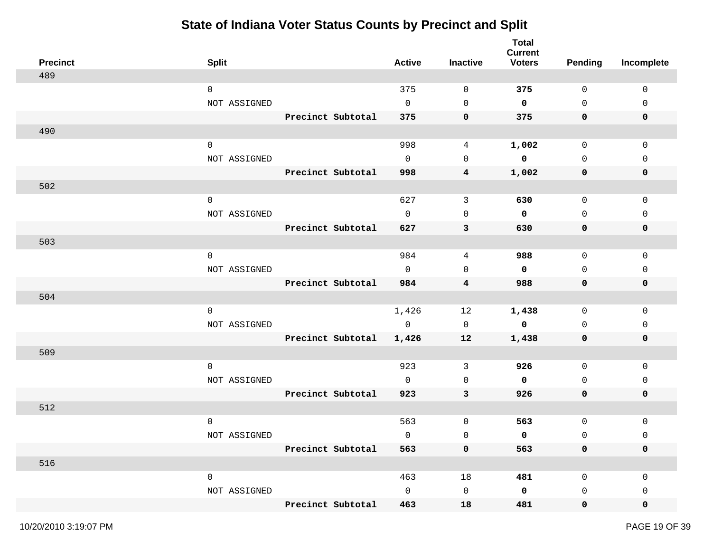| <b>Precinct</b> | <b>Split</b>        |                   | <b>Active</b> | Inactive       | <b>Total</b><br><b>Current</b><br><b>Voters</b> | <b>Pending</b>      | Incomplete  |
|-----------------|---------------------|-------------------|---------------|----------------|-------------------------------------------------|---------------------|-------------|
| 489             |                     |                   |               |                |                                                 |                     |             |
|                 | $\mathbf 0$         |                   | 375           | 0              | 375                                             | 0                   | $\mathbf 0$ |
|                 | NOT ASSIGNED        |                   | $\mathbf 0$   | $\mathbf 0$    | 0                                               | $\mathsf{O}$        | 0           |
|                 |                     | Precinct Subtotal | 375           | 0              | 375                                             | 0                   | $\mathbf 0$ |
| 490             |                     |                   |               |                |                                                 |                     |             |
|                 | $\mathsf{O}$        |                   | 998           | 4              | 1,002                                           | $\mathsf{O}$        | $\mathsf 0$ |
|                 | NOT ASSIGNED        |                   | $\mathbf 0$   | 0              | 0                                               | $\mathbf 0$         | $\mathbf 0$ |
|                 |                     | Precinct Subtotal | 998           | $\overline{4}$ | 1,002                                           | 0                   | 0           |
| 502             |                     |                   |               |                |                                                 |                     |             |
|                 | $\mathsf 0$         |                   | 627           | $\mathbf{3}$   | 630                                             | $\mathsf{O}$        | $\mathsf 0$ |
|                 | NOT ASSIGNED        |                   | $\mathbf 0$   | $\mathbf 0$    | $\mathbf 0$                                     | $\mathbf 0$         | 0           |
|                 |                     | Precinct Subtotal | 627           | 3              | 630                                             | 0                   | 0           |
| 503             |                     |                   |               |                |                                                 |                     |             |
|                 | $\mathbf 0$         |                   | 984           | 4              | 988                                             | 0                   | 0           |
|                 | NOT ASSIGNED        |                   | $\mathbf 0$   | $\mathbf 0$    | $\mathbf 0$                                     | 0                   | 0           |
|                 |                     | Precinct Subtotal | 984           | 4              | 988                                             | 0                   | 0           |
| 504             |                     |                   |               |                |                                                 |                     |             |
|                 | $\mathbf 0$         |                   | 1,426         | 12             | 1,438                                           | 0                   | $\mathbf 0$ |
|                 | NOT ASSIGNED        |                   | $\mathbf 0$   | $\mathbf 0$    | $\mathbf 0$                                     | 0                   | 0           |
|                 |                     | Precinct Subtotal | 1,426         | 12             | 1,438                                           | 0                   | 0           |
| 509             |                     |                   |               |                |                                                 |                     |             |
|                 | $\mathbf 0$         |                   | 923           | 3              | 926                                             | 0                   | 0           |
|                 | NOT ASSIGNED        |                   | $\mathbf 0$   | 0              | $\mathbf 0$                                     | 0                   | 0           |
|                 |                     | Precinct Subtotal | 923           | $\mathbf{3}$   | 926                                             | 0                   | 0           |
| 512             |                     |                   |               |                |                                                 |                     |             |
|                 | $\mathbf 0$         |                   | 563           | 0              | 563                                             | $\mathsf{O}\xspace$ | 0           |
|                 | NOT ASSIGNED        |                   | $\mathbf 0$   | $\mathsf 0$    | 0                                               | $\mathsf{O}$        | 0           |
|                 |                     | Precinct Subtotal | 563           | 0              | 563                                             | $\mathbf 0$         | 0           |
| 516             |                     |                   |               |                |                                                 |                     |             |
|                 | $\mathsf{O}\xspace$ |                   | 463           | 18             | 481                                             | $\mathsf{O}$        | $\mathbf 0$ |
|                 | NOT ASSIGNED        |                   | $\mathsf{O}$  | $\mathbf 0$    | $\mathbf 0$                                     | 0                   | 0           |
|                 |                     | Precinct Subtotal | 463           | 18             | 481                                             | $\mathbf 0$         | 0           |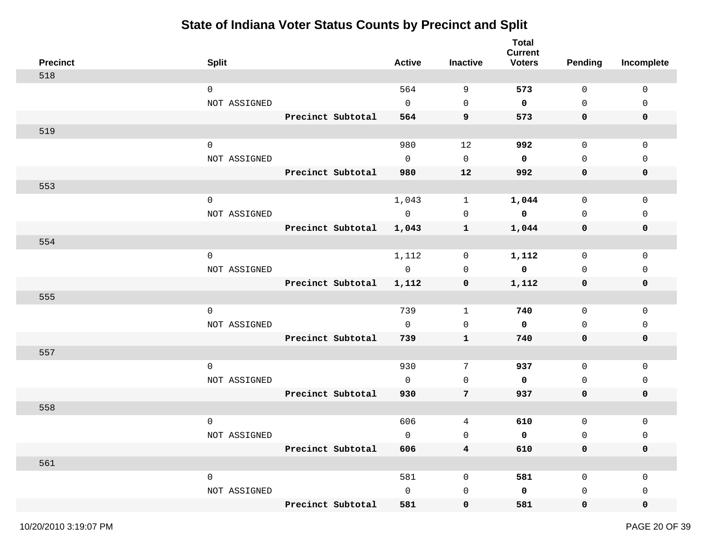| <b>Precinct</b> | <b>Split</b>        |                   | <b>Active</b>  | Inactive                | <b>Total</b><br><b>Current</b><br><b>Voters</b> | <b>Pending</b> | Incomplete  |
|-----------------|---------------------|-------------------|----------------|-------------------------|-------------------------------------------------|----------------|-------------|
| 518             |                     |                   |                |                         |                                                 |                |             |
|                 | $\mathbf 0$         |                   | 564            | 9                       | 573                                             | $\mathbf 0$    | $\mathbf 0$ |
|                 | NOT ASSIGNED        |                   | $\mathbf 0$    | 0                       | $\mathbf 0$                                     | $\mathsf{O}$   | $\mathbf 0$ |
|                 |                     | Precinct Subtotal | 564            | 9                       | 573                                             | 0              | $\mathbf 0$ |
| 519             |                     |                   |                |                         |                                                 |                |             |
|                 | $\mathbf 0$         |                   | 980            | 12                      | 992                                             | $\mathbf 0$    | 0           |
|                 | NOT ASSIGNED        |                   | $\Omega$       | 0                       | $\mathbf 0$                                     | $\mathbf 0$    | $\Omega$    |
|                 |                     | Precinct Subtotal | 980            | 12                      | 992                                             | 0              | 0           |
| 553             |                     |                   |                |                         |                                                 |                |             |
|                 | $\mathsf{O}\xspace$ |                   | 1,043          | $\mathbf{1}$            | 1,044                                           | $\mathsf{O}$   | $\mathsf 0$ |
|                 | NOT ASSIGNED        |                   | $\overline{0}$ | 0                       | $\mathbf 0$                                     | $\mathbf 0$    | 0           |
|                 |                     | Precinct Subtotal | 1,043          | 1                       | 1,044                                           | 0              | 0           |
| 554             |                     |                   |                |                         |                                                 |                |             |
|                 | $\mathbf 0$         |                   | 1,112          | 0                       | 1,112                                           | $\mathbf 0$    | 0           |
|                 | NOT ASSIGNED        |                   | $\mathbb O$    | 0                       | $\mathbf 0$                                     | 0              | 0           |
|                 |                     | Precinct Subtotal | 1,112          | 0                       | 1,112                                           | 0              | 0           |
| 555             |                     |                   |                |                         |                                                 |                |             |
|                 | $\mathbf 0$         |                   | 739            | 1                       | 740                                             | $\mathsf{O}$   | $\mathbf 0$ |
|                 | NOT ASSIGNED        |                   | $\mathbf{0}$   | 0                       | 0                                               | 0              | 0           |
|                 |                     | Precinct Subtotal | 739            | $\mathbf{1}$            | 740                                             | 0              | 0           |
| 557             |                     |                   |                |                         |                                                 |                |             |
|                 | $\mathbf 0$         |                   | 930            | 7                       | 937                                             | $\mathbf 0$    | $\mathbf 0$ |
|                 | NOT ASSIGNED        |                   | $\Omega$       | $\mathbf 0$             | 0                                               | $\mathbf 0$    | 0           |
|                 |                     | Precinct Subtotal | 930            | 7                       | 937                                             | 0              | 0           |
| 558             |                     |                   |                |                         |                                                 |                |             |
|                 | $\mathbf 0$         |                   | 606            | 4                       | 610                                             | $\mathsf{O}$   | 0           |
|                 | NOT ASSIGNED        |                   | $\mathbf 0$    | 0                       | 0                                               | 0              | 0           |
|                 |                     | Precinct Subtotal | 606            | $\overline{\mathbf{4}}$ | 610                                             | 0              | 0           |
| 561             |                     |                   |                |                         |                                                 |                |             |
|                 | $\mathsf{O}$        |                   | 581            | 0                       | 581                                             | 0              | 0           |
|                 | NOT ASSIGNED        |                   | $\mathsf{O}$   | 0                       | 0                                               | 0              | 0           |
|                 |                     | Precinct Subtotal | 581            | 0                       | 581                                             | $\mathbf 0$    | 0           |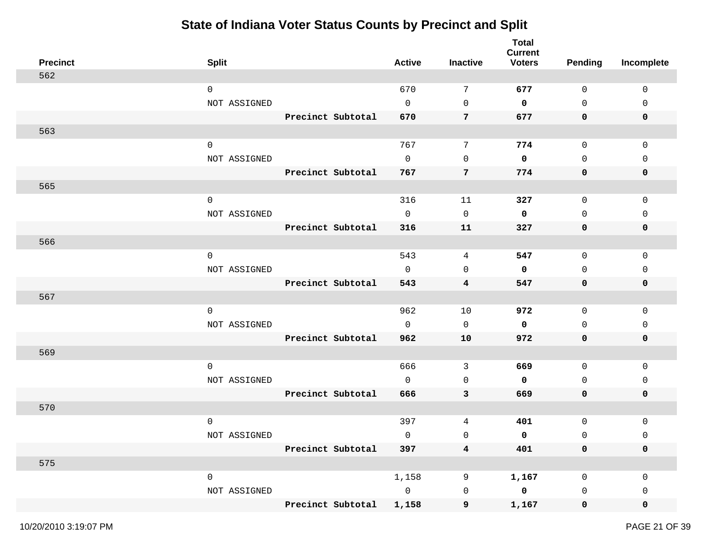| <b>Precinct</b> | <b>Split</b>        |                   | <b>Active</b> | Inactive     | <b>Total</b><br><b>Current</b><br><b>Voters</b> | <b>Pending</b> | Incomplete   |
|-----------------|---------------------|-------------------|---------------|--------------|-------------------------------------------------|----------------|--------------|
| 562             |                     |                   |               |              |                                                 |                |              |
|                 | $\mathbf 0$         |                   | 670           | 7            | 677                                             | 0              | 0            |
|                 | NOT ASSIGNED        |                   | $\mathbf 0$   | $\mathbf 0$  | 0                                               | $\mathsf{O}$   | 0            |
|                 |                     | Precinct Subtotal | 670           | 7            | 677                                             | 0              | 0            |
| 563             |                     |                   |               |              |                                                 |                |              |
|                 | $\mathbf 0$         |                   | 767           | 7            | 774                                             | $\mathsf{O}$   | $\mathbf 0$  |
|                 | NOT ASSIGNED        |                   | $\mathbf 0$   | 0            | 0                                               | $\mathbf 0$    | $\mathbf{0}$ |
|                 |                     | Precinct Subtotal | 767           | 7            | 774                                             | 0              | $\mathbf 0$  |
| 565             |                     |                   |               |              |                                                 |                |              |
|                 | $\mathsf{O}\xspace$ |                   | 316           | 11           | 327                                             | $\mathsf{O}$   | 0            |
|                 | NOT ASSIGNED        |                   | $\mathbf 0$   | 0            | 0                                               | $\mathsf{O}$   | 0            |
|                 |                     | Precinct Subtotal | 316           | 11           | 327                                             | 0              | 0            |
| 566             |                     |                   |               |              |                                                 |                |              |
|                 | $\mathbf 0$         |                   | 543           | 4            | 547                                             | 0              | 0            |
|                 | NOT ASSIGNED        |                   | $\mathbf 0$   | $\mathbf 0$  | 0                                               | 0              | 0            |
|                 |                     | Precinct Subtotal | 543           | 4            | 547                                             | 0              | 0            |
| 567             |                     |                   |               |              |                                                 |                |              |
|                 | $\mathbf 0$         |                   | 962           | 10           | 972                                             | $\mathbf 0$    | 0            |
|                 | NOT ASSIGNED        |                   | $\mathbf 0$   | $\mathbf 0$  | 0                                               | 0              | 0            |
|                 |                     | Precinct Subtotal | 962           | 10           | 972                                             | 0              | 0            |
| 569             |                     |                   |               |              |                                                 |                |              |
|                 | $\mathbf 0$         |                   | 666           | 3            | 669                                             | 0              | 0            |
|                 | NOT ASSIGNED        |                   | $\mathbf 0$   | 0            | 0                                               | 0              | 0            |
|                 |                     | Precinct Subtotal | 666           | $\mathbf{3}$ | 669                                             | 0              | 0            |
| 570             |                     |                   |               |              |                                                 |                |              |
|                 | $\mathbf 0$         |                   | 397           | 4            | 401                                             | $\mathsf 0$    | 0            |
|                 | NOT ASSIGNED        |                   | $\mathbf 0$   | 0            | 0                                               | $\mathsf{O}$   | 0            |
|                 |                     | Precinct Subtotal | 397           | $\bf{4}$     | 401                                             | 0              | 0            |
| 575             |                     |                   |               |              |                                                 |                |              |
|                 | $\mathsf{O}\xspace$ |                   | 1,158         | 9            | 1,167                                           | 0              | $\mathbf 0$  |
|                 | NOT ASSIGNED        |                   | $\mathbb O$   | $\mathsf 0$  | $\mathbf 0$                                     | 0              | 0            |
|                 |                     | Precinct Subtotal | 1,158         | 9            | 1,167                                           | $\mathbf 0$    | 0            |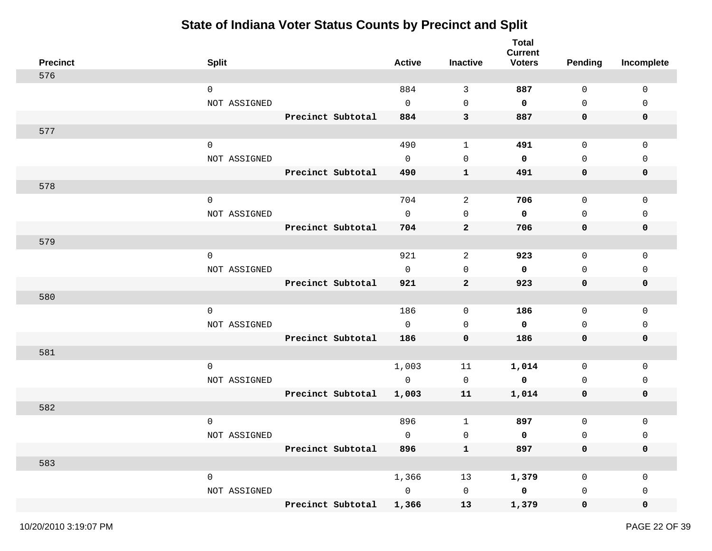| <b>Precinct</b> | <b>Split</b>        |                   | <b>Active</b>  | Inactive            | <b>Total</b><br><b>Current</b><br><b>Voters</b> | <b>Pending</b> | Incomplete   |
|-----------------|---------------------|-------------------|----------------|---------------------|-------------------------------------------------|----------------|--------------|
| 576             |                     |                   |                |                     |                                                 |                |              |
|                 | $\mathbf 0$         |                   | 884            | 3                   | 887                                             | $\mathbf 0$    | $\mathbf 0$  |
|                 | NOT ASSIGNED        |                   | $\mathbf{0}$   | 0                   | 0                                               | $\mathsf{O}$   | 0            |
|                 |                     | Precinct Subtotal | 884            | 3                   | 887                                             | 0              | 0            |
| 577             |                     |                   |                |                     |                                                 |                |              |
|                 | $\mathbf 0$         |                   | 490            | $\mathbf 1$         | 491                                             | $\mathsf{O}$   | 0            |
|                 | NOT ASSIGNED        |                   | $\mathbf{0}$   | $\mathbf 0$         | 0                                               | $\mathbf 0$    | 0            |
|                 |                     | Precinct Subtotal | 490            | $\mathbf{1}$        | 491                                             | 0              | 0            |
| 578             |                     |                   |                |                     |                                                 |                |              |
|                 | $\mathsf{O}\xspace$ |                   | 704            | 2                   | 706                                             | $\mathsf{O}$   | $\mathsf 0$  |
|                 | NOT ASSIGNED        |                   | $\mathbf 0$    | $\mathbf 0$         | 0                                               | $\mathbf 0$    | 0            |
|                 |                     | Precinct Subtotal | 704            | $\mathbf{2}$        | 706                                             | 0              | 0            |
| 579             |                     |                   |                |                     |                                                 |                |              |
|                 | $\mathbf 0$         |                   | 921            | 2                   | 923                                             | 0              | 0            |
|                 | NOT ASSIGNED        |                   | $\mathbf{0}$   | 0                   | 0                                               | 0              | 0            |
|                 |                     | Precinct Subtotal | 921            | $\mathbf{2}$        | 923                                             | 0              | 0            |
| 580             |                     |                   |                |                     |                                                 |                |              |
|                 | $\mathbf 0$         |                   | 186            | 0                   | 186                                             | $\mathsf{O}$   | 0            |
|                 | NOT ASSIGNED        |                   | $\mathbf 0$    | 0                   | 0                                               | 0              | 0            |
|                 |                     | Precinct Subtotal | 186            | $\mathbf 0$         | 186                                             | 0              | 0            |
| 581             |                     |                   |                |                     |                                                 |                |              |
|                 | $\mathbf 0$         |                   | 1,003          | 11                  | 1,014                                           | $\mathsf{O}$   | $\mathbf{0}$ |
|                 | NOT ASSIGNED        |                   | $\mathbf 0$    | 0                   | 0                                               | 0              | 0            |
|                 |                     | Precinct Subtotal | 1,003          | 11                  | 1,014                                           | 0              | 0            |
| 582             |                     |                   |                |                     |                                                 |                |              |
|                 | $\mathbf 0$         |                   | 896            | 1                   | 897                                             | $\mathsf{O}$   | 0            |
|                 | NOT ASSIGNED        |                   | $\mathbf{0}$   | 0                   | 0                                               | 0              | 0            |
|                 |                     | Precinct Subtotal | 896            | $\mathbf{1}$        | 897                                             | 0              | 0            |
| 583             |                     |                   |                |                     |                                                 |                |              |
|                 | $\mathsf{O}$        |                   | 1,366          | 13                  | 1,379                                           | $\mathbf 0$    | 0            |
|                 | NOT ASSIGNED        |                   | $\overline{0}$ | $\mathsf{O}\xspace$ | $\overline{\mathbf{0}}$                         | 0              | 0            |
|                 |                     | Precinct Subtotal | 1,366          | 13                  | 1,379                                           | $\mathbf 0$    | 0            |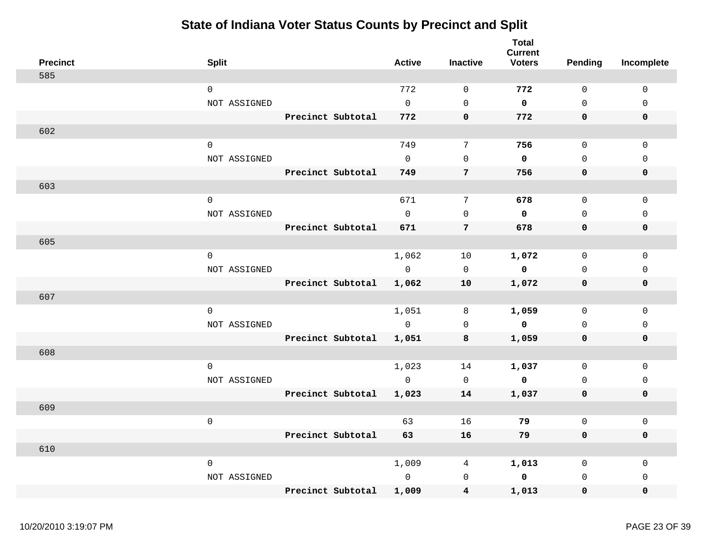| <b>Precinct</b> | <b>Split</b>        |                   | <b>Active</b> | <b>Inactive</b> | <b>Total</b><br><b>Current</b><br><b>Voters</b> | Pending      | Incomplete   |
|-----------------|---------------------|-------------------|---------------|-----------------|-------------------------------------------------|--------------|--------------|
| 585             |                     |                   |               |                 |                                                 |              |              |
|                 | $\mathsf{O}$        |                   | 772           | $\mathbf 0$     | 772                                             | $\mathbf 0$  | $\mathbf 0$  |
|                 | NOT ASSIGNED        |                   | $\Omega$      | $\Omega$        | $\mathbf 0$                                     | $\Omega$     | $\Omega$     |
|                 |                     | Precinct Subtotal | 772           | $\mathbf 0$     | 772                                             | $\mathbf 0$  | $\mathbf 0$  |
| 602             |                     |                   |               |                 |                                                 |              |              |
|                 | $\mathbf 0$         |                   | 749           | 7               | 756                                             | $\mathbf 0$  | $\mathbf 0$  |
|                 | NOT ASSIGNED        |                   | $\Omega$      | $\mathbf 0$     | $\mathbf 0$                                     | $\Omega$     | $\mathbf 0$  |
|                 |                     | Precinct Subtotal | 749           | 7               | 756                                             | $\mathbf 0$  | 0            |
| 603             |                     |                   |               |                 |                                                 |              |              |
|                 | $\mathbf 0$         |                   | 671           | 7               | 678                                             | $\mathsf{O}$ | $\mathbf 0$  |
|                 | NOT ASSIGNED        |                   | $\Omega$      | $\mathbf 0$     | $\mathbf 0$                                     | $\Omega$     | $\mathbf{0}$ |
|                 |                     | Precinct Subtotal | 671           | $\overline{7}$  | 678                                             | $\mathbf 0$  | $\mathbf 0$  |
| 605             |                     |                   |               |                 |                                                 |              |              |
|                 | $\mathbf 0$         |                   | 1,062         | 10              | 1,072                                           | $\mathbf 0$  | $\mathbf 0$  |
|                 | NOT ASSIGNED        |                   | $\mathbf 0$   | $\mathbf 0$     | $\mathbf 0$                                     | $\mathbf{0}$ | $\mathbf 0$  |
|                 |                     | Precinct Subtotal | 1,062         | ${\bf 10}$      | 1,072                                           | 0            | $\pmb{0}$    |
| 607             |                     |                   |               |                 |                                                 |              |              |
|                 | $\mathbf 0$         |                   | 1,051         | 8               | 1,059                                           | $\Omega$     | $\mathsf 0$  |
|                 | NOT ASSIGNED        |                   | $\Omega$      | $\mathbf 0$     | $\mathbf 0$                                     | $\Omega$     | $\Omega$     |
|                 |                     | Precinct Subtotal | 1,051         | 8               | 1,059                                           | $\mathbf 0$  | $\mathbf 0$  |
| 608             |                     |                   |               |                 |                                                 |              |              |
|                 | $\mathbf 0$         |                   | 1,023         | 14              | 1,037                                           | $\Omega$     | $\mathbf 0$  |
|                 | NOT ASSIGNED        |                   | $\Omega$      | $\mathbf 0$     | $\mathbf 0$                                     | $\Omega$     | $\mathbf 0$  |
|                 |                     | Precinct Subtotal | 1,023         | 14              | 1,037                                           | 0            | $\mathbf 0$  |
| 609             |                     |                   |               |                 |                                                 |              |              |
|                 | $\mathsf{O}\xspace$ |                   | 63            | 16              | 79                                              | $\mathbf 0$  | $\mathbf 0$  |
|                 |                     | Precinct Subtotal | 63            | 16              | 79                                              | 0            | $\mathbf 0$  |
| 610             |                     |                   |               |                 |                                                 |              |              |
|                 | $\mathbf 0$         |                   | 1,009         | 4               | 1,013                                           | $\mathbf 0$  | $\mathbf 0$  |
|                 | NOT ASSIGNED        |                   | $\mathbf 0$   | $\mathbf 0$     | $\mathbf 0$                                     | $\mathbf 0$  | $\mathbf{0}$ |
|                 |                     | Precinct Subtotal | 1,009         | 4               | 1,013                                           | $\mathbf 0$  | $\mathbf 0$  |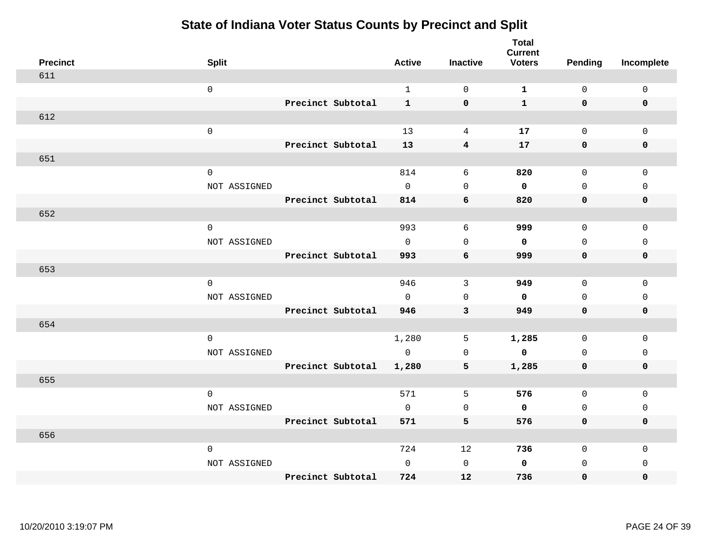| <b>Precinct</b> |                     |                   | <b>Active</b> |                     | <b>Total</b><br><b>Current</b><br><b>Voters</b> | <b>Pending</b> |             |
|-----------------|---------------------|-------------------|---------------|---------------------|-------------------------------------------------|----------------|-------------|
| 611             | <b>Split</b>        |                   |               | <b>Inactive</b>     |                                                 |                | Incomplete  |
|                 | $\mathsf 0$         |                   | $\mathbf{1}$  | $\mathbf 0$         | $\mathbf{1}$                                    | $\mathsf{O}$   | $\mathsf 0$ |
|                 |                     | Precinct Subtotal | $\mathbf{1}$  | $\mathbf 0$         | $\mathbf{1}$                                    | $\mathbf 0$    | $\mathbf 0$ |
| 612             |                     |                   |               |                     |                                                 |                |             |
|                 | $\mathsf 0$         |                   | 13            | 4                   | 17                                              | $\mathsf{O}$   | $\mathbf 0$ |
|                 |                     | Precinct Subtotal | 13            | $\bf{4}$            | 17                                              | $\mathbf 0$    | $\pmb{0}$   |
|                 |                     |                   |               |                     |                                                 |                |             |
| 651             |                     |                   |               |                     |                                                 |                |             |
|                 | $\mathsf{O}\xspace$ |                   | 814           | 6                   | 820                                             | $\mathsf{O}$   | $\mathbf 0$ |
|                 | NOT ASSIGNED        |                   | $\mathsf{O}$  | $\mathsf{O}\xspace$ | 0                                               | 0              | 0           |
|                 |                     | Precinct Subtotal | 814           | 6                   | 820                                             | $\mathbf 0$    | 0           |
| 652             |                     |                   |               |                     |                                                 |                |             |
|                 | $\mathsf 0$         |                   | 993           | $\sqrt{6}$          | 999                                             | $\mathsf{O}$   | $\mathsf 0$ |
|                 | NOT ASSIGNED        |                   | $\mathbf 0$   | $\mathbf 0$         | $\mathbf 0$                                     | $\mathbf 0$    | 0           |
|                 |                     | Precinct Subtotal | 993           | 6                   | 999                                             | 0              | 0           |
| 653             |                     |                   |               |                     |                                                 |                |             |
|                 | $\mathbf 0$         |                   | 946           | 3                   | 949                                             | $\mathbf 0$    | $\mathbf 0$ |
|                 | NOT ASSIGNED        |                   | $\Omega$      | $\mathbf 0$         | $\mathbf 0$                                     | $\mathbf 0$    | $\mathbf 0$ |
|                 |                     | Precinct Subtotal | 946           | 3                   | 949                                             | $\mathbf 0$    | $\pmb{0}$   |
| 654             |                     |                   |               |                     |                                                 |                |             |
|                 | $\mathbf 0$         |                   | 1,280         | 5                   | 1,285                                           | $\mathbf 0$    | $\mathbf 0$ |
|                 | NOT ASSIGNED        |                   | $\mathbf 0$   | $\mathsf{O}\xspace$ | $\mathbf 0$                                     | $\mathbf 0$    | $\mathsf 0$ |
|                 |                     | Precinct Subtotal | 1,280         | 5                   | 1,285                                           | $\mathbf 0$    | $\mathbf 0$ |
| 655             |                     |                   |               |                     |                                                 |                |             |
|                 | $\mathbf 0$         |                   | 571           | 5                   | 576                                             | $\mathsf{O}$   | $\mathsf 0$ |
|                 | NOT ASSIGNED        |                   | $\mathbf 0$   | 0                   | 0                                               | $\mathsf{O}$   | 0           |
|                 |                     | Precinct Subtotal | 571           | 5                   | 576                                             | 0              | 0           |
| 656             |                     |                   |               |                     |                                                 |                |             |
|                 | $\mathsf 0$         |                   | 724           | 12                  | 736                                             | 0              | 0           |
|                 | NOT ASSIGNED        |                   | $\mathbf 0$   | $\mathsf{O}\xspace$ | $\mathbf 0$                                     | $\mathbf 0$    | 0           |
|                 |                     | Precinct Subtotal | 724           | 12                  | 736                                             | 0              | 0           |
|                 |                     |                   |               |                     |                                                 |                |             |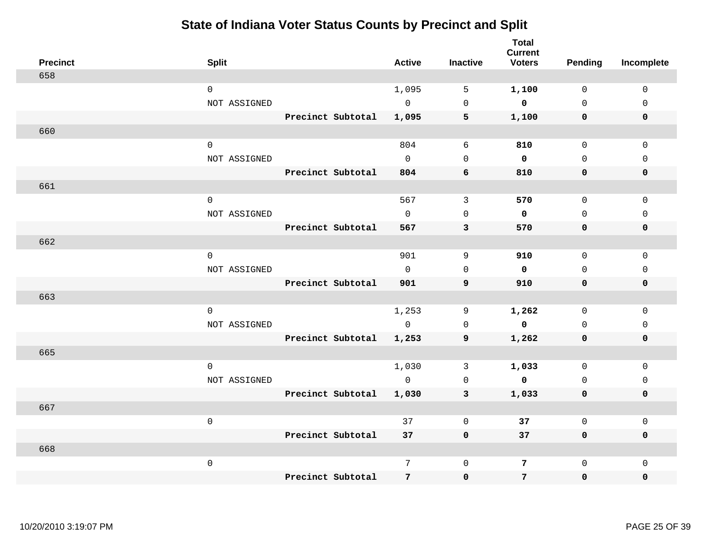|     | <b>Precinct</b> | <b>Split</b>        |                   | <b>Active</b>        | <b>Inactive</b>     | <b>Total</b><br><b>Current</b><br><b>Voters</b> | <b>Pending</b>             | Incomplete                 |
|-----|-----------------|---------------------|-------------------|----------------------|---------------------|-------------------------------------------------|----------------------------|----------------------------|
| 658 |                 |                     |                   |                      |                     |                                                 |                            |                            |
|     |                 | $\mathbf 0$         |                   | 1,095                | 5                   | 1,100                                           | $\mathbf 0$                | $\mathbf 0$                |
|     |                 | NOT ASSIGNED        |                   | $\overline{0}$       | $\mathsf{O}\xspace$ | $\mathbf 0$                                     | $\Omega$                   | $\mathsf 0$                |
|     |                 |                     | Precinct Subtotal | 1,095                | 5                   | 1,100                                           | $\mathbf 0$                | 0                          |
| 660 |                 |                     |                   |                      |                     |                                                 |                            |                            |
|     |                 | $\mathsf{O}\xspace$ |                   | 804                  | $\sqrt{6}$          | 810                                             | $\mathbf 0$                | $\mathsf 0$                |
|     |                 | NOT ASSIGNED        |                   | $\mathbf{0}$         | $\mathbf 0$         | $\mathbf 0$                                     | $\mathbf 0$                | $\mathbf 0$                |
|     |                 |                     | Precinct Subtotal | 804                  | 6                   | 810                                             | 0                          | 0                          |
| 661 |                 |                     |                   |                      |                     |                                                 |                            |                            |
|     |                 | $\mathbf 0$         |                   | 567                  | 3                   | 570                                             | 0                          | 0                          |
|     |                 | NOT ASSIGNED        |                   | $\Omega$             | $\Omega$            | 0                                               | $\Omega$                   | $\mathbf 0$                |
|     |                 |                     | Precinct Subtotal | 567                  | 3                   | 570                                             | $\mathbf 0$                | 0                          |
| 662 |                 |                     |                   |                      |                     |                                                 |                            |                            |
|     |                 | $\Omega$            |                   | 901                  | 9                   | 910                                             | $\Omega$                   | $\Omega$                   |
|     |                 | NOT ASSIGNED        |                   | $\mathbf 0$          | $\mathsf 0$         | 0                                               | $\Omega$                   | $\mathbf 0$                |
|     |                 |                     | Precinct Subtotal | 901                  | 9                   | 910                                             | 0                          | 0                          |
| 663 |                 |                     |                   |                      |                     |                                                 |                            |                            |
|     |                 | $\mathbf 0$         |                   | 1,253<br>$\mathbf 0$ | 9                   | 1,262<br>$\mathbf 0$                            | $\mathbf 0$<br>$\mathbf 0$ | $\mathsf 0$<br>$\mathbf 0$ |
|     |                 | NOT ASSIGNED        | Precinct Subtotal | 1,253                | $\mathbf 0$         | 1,262                                           | 0                          | 0                          |
| 665 |                 |                     |                   |                      | 9                   |                                                 |                            |                            |
|     |                 | $\mathbf{0}$        |                   | 1,030                | 3                   | 1,033                                           | $\mathbf 0$                | $\mathbf 0$                |
|     |                 | NOT ASSIGNED        |                   | $\circ$              | $\mathbf 0$         | $\mathbf 0$                                     | $\mathbf 0$                | 0                          |
|     |                 |                     | Precinct Subtotal | 1,030                | 3                   | 1,033                                           | 0                          | 0                          |
| 667 |                 |                     |                   |                      |                     |                                                 |                            |                            |
|     |                 | $\mathsf{O}\xspace$ |                   | 37                   | $\mathbf 0$         | 37                                              | $\mathbf 0$                | $\mathbf{0}$               |
|     |                 |                     | Precinct Subtotal | 37                   | $\mathbf 0$         | 37                                              | $\mathbf 0$                | $\mathbf 0$                |
| 668 |                 |                     |                   |                      |                     |                                                 |                            |                            |
|     |                 | $\mathsf{O}\xspace$ |                   | 7                    | $\mathbf 0$         | 7                                               | $\mathbf 0$                | $\mathbf{0}$               |
|     |                 |                     | Precinct Subtotal | $7\overline{ }$      | 0                   | 7                                               | $\mathbf 0$                | 0                          |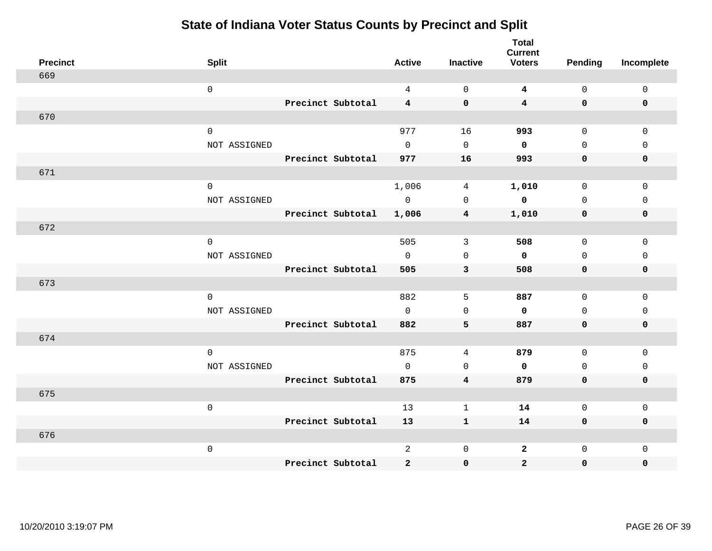|                 |              |                   |                |                         | <b>Total</b><br><b>Current</b> |              |                     |
|-----------------|--------------|-------------------|----------------|-------------------------|--------------------------------|--------------|---------------------|
| <b>Precinct</b> | <b>Split</b> |                   | <b>Active</b>  | <b>Inactive</b>         | <b>Voters</b>                  | Pending      | Incomplete          |
| 669             |              |                   |                |                         |                                |              |                     |
|                 | $\mathsf 0$  |                   | $\overline{4}$ | $\mathsf{O}\xspace$     | $\overline{\mathbf{4}}$        | $\mathsf{O}$ | $\mathsf{O}\xspace$ |
|                 |              | Precinct Subtotal | $\overline{4}$ | $\mathbf 0$             | $\overline{\mathbf{4}}$        | $\mathbf 0$  | $\mathbf 0$         |
| 670             |              |                   |                |                         |                                |              |                     |
|                 | $\mathsf 0$  |                   | 977            | 16                      | 993                            | $\mathbf 0$  | $\mathbf 0$         |
|                 | NOT ASSIGNED |                   | $\Omega$       | $\Omega$                | $\mathbf 0$                    | $\Omega$     | $\Omega$            |
|                 |              | Precinct Subtotal | 977            | 16                      | 993                            | $\mathbf 0$  | $\mathbf 0$         |
| 671             |              |                   |                |                         |                                |              |                     |
|                 | $\mathbf 0$  |                   | 1,006          | 4                       | 1,010                          | $\mathbf 0$  | $\mathbf 0$         |
|                 | NOT ASSIGNED |                   | $\mathsf{O}$   | $\mathbf 0$             | $\mathbf 0$                    | $\mathbf 0$  | $\mathbf 0$         |
|                 |              | Precinct Subtotal | 1,006          | 4                       | 1,010                          | 0            | $\mathbf 0$         |
| 672             |              |                   |                |                         |                                |              |                     |
|                 | $\mathbf 0$  |                   | 505            | 3                       | 508                            | $\mathbf 0$  | $\mathbf 0$         |
|                 | NOT ASSIGNED |                   | $\Omega$       | $\mathsf{O}\xspace$     | $\mathbf 0$                    | $\mathbf 0$  | $\mathbf 0$         |
|                 |              | Precinct Subtotal | 505            | 3                       | 508                            | $\mathbf 0$  | 0                   |
| 673             |              |                   |                |                         |                                |              |                     |
|                 | $\mathbf 0$  |                   | 882            | 5                       | 887                            | $\mathsf{O}$ | $\mathbf 0$         |
|                 | NOT ASSIGNED |                   | $\mathsf{O}$   | $\mathsf{O}\xspace$     | 0                              | $\mathsf{O}$ | $\mathsf 0$         |
|                 |              | Precinct Subtotal | 882            | 5                       | 887                            | $\mathbf 0$  | 0                   |
| 674             |              |                   |                |                         |                                |              |                     |
|                 | $\mathbf 0$  |                   | 875            | 4                       | 879                            | $\mathbf 0$  | $\mathbf{0}$        |
|                 | NOT ASSIGNED |                   | $\mathbf 0$    | $\mathbf 0$             | $\mathbf 0$                    | $\mathbf 0$  | 0                   |
|                 |              | Precinct Subtotal | 875            | $\overline{\mathbf{4}}$ | 879                            | $\mathbf 0$  | $\mathbf 0$         |
| 675             |              |                   |                |                         |                                |              |                     |
|                 | $\mathsf 0$  |                   | 13             | $\mathbf{1}$            | 14                             | $\mathsf{O}$ | $\mathsf 0$         |
|                 |              | Precinct Subtotal | 13             | $\mathbf{1}$            | 14                             | $\mathbf 0$  | 0                   |
| 676             |              |                   |                |                         |                                |              |                     |
|                 | $\mathsf 0$  |                   | $\overline{2}$ | $\mathsf 0$             | $\mathbf{2}$                   | $\mathsf{O}$ | $\mathbf 0$         |
|                 |              | Precinct Subtotal | $\overline{2}$ | $\pmb{0}$               | $\overline{2}$                 | 0            | 0                   |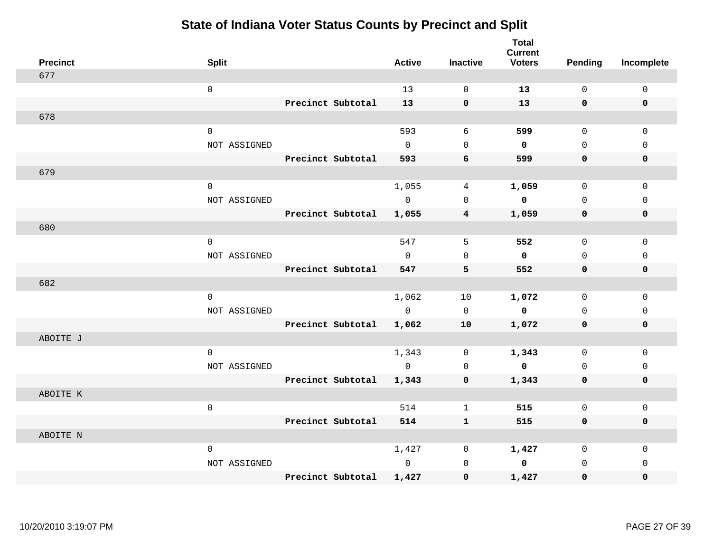| <b>Precinct</b> | <b>Split</b> |                   | <b>Active</b> | <b>Inactive</b>              | <b>Total</b><br><b>Current</b><br><b>Voters</b> | Pending      | Incomplete  |
|-----------------|--------------|-------------------|---------------|------------------------------|-------------------------------------------------|--------------|-------------|
| 677             |              |                   |               |                              |                                                 |              |             |
|                 | $\mathsf 0$  |                   | 13            | $\mathsf{O}\xspace$          | 13                                              | $\mathsf{O}$ | $\mathsf 0$ |
|                 |              | Precinct Subtotal | 13            | $\mathbf 0$                  | 13                                              | $\mathbf 0$  | $\mathbf 0$ |
| 678             |              |                   |               |                              |                                                 |              |             |
|                 | $\mathbf 0$  |                   | 593           | 6                            | 599                                             | $\mathbf 0$  | $\mathbf 0$ |
|                 | NOT ASSIGNED |                   | $\mathbf 0$   | $\mathsf{O}\xspace$          | $\mathbf 0$                                     | $\mathbf 0$  | $\mathsf 0$ |
|                 |              | Precinct Subtotal | 593           | 6                            | 599                                             | $\mathbf 0$  | 0           |
| 679             |              |                   |               |                              |                                                 |              |             |
|                 | $\mathbf 0$  |                   | 1,055         | 4                            | 1,059                                           | $\mathbf 0$  | $\mathbf 0$ |
|                 | NOT ASSIGNED |                   | $\mathbf 0$   | $\mathbf 0$                  | $\mathbf 0$                                     | $\mathbf 0$  | $\mathbf 0$ |
|                 |              | Precinct Subtotal | 1,055         | 4                            | 1,059                                           | $\mathbf 0$  | $\mathbf 0$ |
| 680             |              |                   |               |                              |                                                 |              |             |
|                 | $\mathbf 0$  |                   | 547           | 5                            | 552                                             | 0            | 0           |
|                 | NOT ASSIGNED |                   | $\Omega$      | $\Omega$                     | $\mathbf{0}$                                    | $\Omega$     | $\Omega$    |
|                 |              | Precinct Subtotal | 547           | 5                            | 552                                             | $\mathbf 0$  | $\mathbf 0$ |
| 682             |              |                   |               |                              |                                                 |              |             |
|                 | $\mathsf 0$  |                   | 1,062         | 10                           | 1,072                                           | $\mathbf 0$  | $\mathbf 0$ |
|                 | NOT ASSIGNED |                   | $\mathbb O$   | $\mathsf 0$                  | $\mathbf 0$                                     | $\mathsf{O}$ | $\mathsf 0$ |
|                 |              | Precinct Subtotal | 1,062         | 10                           | 1,072                                           | 0            | 0           |
| ABOITE J        |              |                   |               |                              |                                                 |              |             |
|                 | $\mathbf 0$  |                   | 1,343         | $\mathsf{O}\xspace$          | 1,343                                           | $\mathbf 0$  | $\mathbf 0$ |
|                 | NOT ASSIGNED |                   | $\mathbf 0$   | $\mathbf 0$                  | $\mathbf 0$                                     | $\mathbf 0$  | $\mathsf 0$ |
|                 |              | Precinct Subtotal | 1,343         | 0                            | 1,343                                           | 0            | 0           |
| ABOITE K        |              |                   |               |                              |                                                 |              | $\mathbf 0$ |
|                 | $\mathsf 0$  | Precinct Subtotal | 514           | $\mathbf{1}$<br>$\mathbf{1}$ | 515                                             | 0<br>0       | 0           |
| ABOITE N        |              |                   | 514           |                              | 515                                             |              |             |
|                 | $\mathbf 0$  |                   | 1,427         | 0                            | 1,427                                           | 0            | $\mathsf 0$ |
|                 | NOT ASSIGNED |                   | $\mathbf 0$   | 0                            | 0                                               | $\mathbf 0$  | 0           |
|                 |              | Precinct Subtotal | 1,427         | $\mathbf 0$                  | 1,427                                           | 0            | 0           |
|                 |              |                   |               |                              |                                                 |              |             |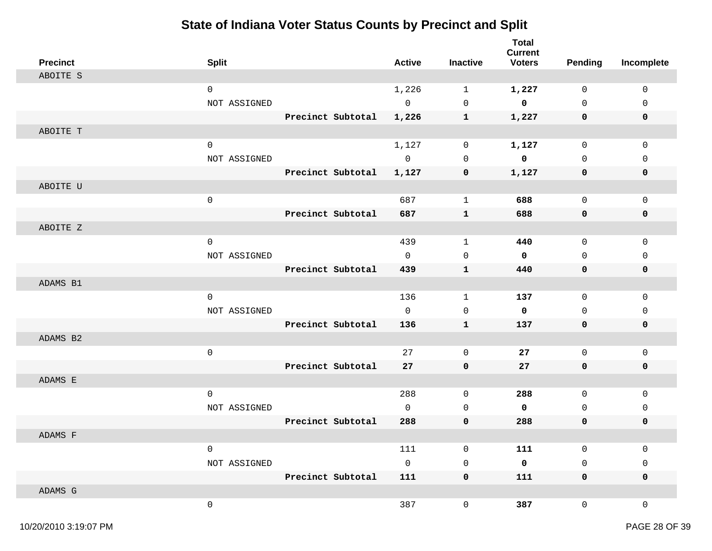| <b>Precinct</b> | <b>Split</b>        |                   | <b>Active</b> | <b>Inactive</b> | <b>Total</b><br><b>Current</b><br><b>Voters</b> | Pending      | Incomplete   |
|-----------------|---------------------|-------------------|---------------|-----------------|-------------------------------------------------|--------------|--------------|
| ABOITE S        |                     |                   |               |                 |                                                 |              |              |
|                 | $\mathbf 0$         |                   | 1,226         | $\mathbf{1}$    | 1,227                                           | $\mathbf 0$  | 0            |
|                 | NOT ASSIGNED        |                   | $\mathsf{O}$  | $\mathbf 0$     | $\mathbf 0$                                     | $\mathbf 0$  | $\mathbf 0$  |
|                 |                     | Precinct Subtotal | 1,226         | $\mathbf{1}$    | 1,227                                           | $\mathbf 0$  | $\mathbf 0$  |
| ABOITE T        |                     |                   |               |                 |                                                 |              |              |
|                 | $\mathbf 0$         |                   | 1,127         | 0               | 1,127                                           | $\mathsf{O}$ | $\mathsf 0$  |
|                 | NOT ASSIGNED        |                   | $\mathbf{0}$  | $\mathbf 0$     | $\mathbf 0$                                     | $\Omega$     | $\mathbf{0}$ |
|                 |                     | Precinct Subtotal | 1,127         | 0               | 1,127                                           | 0            | 0            |
| ABOITE U        |                     |                   |               |                 |                                                 |              |              |
|                 | $\mathsf{O}\xspace$ |                   | 687           | $\mathbf{1}$    | 688                                             | $\mathbf 0$  | $\mathbf{0}$ |
|                 |                     | Precinct Subtotal | 687           | $\mathbf{1}$    | 688                                             | $\mathbf 0$  | $\mathbf 0$  |
| ABOITE Z        |                     |                   |               |                 |                                                 |              |              |
|                 | $\mathbf 0$         |                   | 439           | $\mathbf{1}$    | 440                                             | $\mathbf 0$  | $\mathbf{0}$ |
|                 | NOT ASSIGNED        |                   | $\Omega$      | $\mathbf 0$     | $\mathbf{0}$                                    | $\Omega$     | $\Omega$     |
|                 |                     | Precinct Subtotal | 439           | $\mathbf{1}$    | 440                                             | $\mathbf 0$  | $\mathbf 0$  |
| ADAMS B1        |                     |                   |               |                 |                                                 |              |              |
|                 | $\mathbf 0$         |                   | 136           | $\mathbf{1}$    | 137                                             | $\mathbf 0$  | $\mathbf 0$  |
|                 | NOT ASSIGNED        |                   | $\mathbf 0$   | $\mathbf 0$     | 0                                               | $\mathbf 0$  | $\mathbf{0}$ |
|                 |                     | Precinct Subtotal | 136           | $\mathbf{1}$    | 137                                             | $\mathbf 0$  | 0            |
| ADAMS B2        |                     |                   |               |                 |                                                 |              |              |
|                 | $\mathsf{O}\xspace$ |                   | 27            | $\mathbf 0$     | 27                                              | $\mathsf{O}$ | $\mathsf 0$  |
|                 |                     | Precinct Subtotal | 27            | $\mathbf 0$     | 27                                              | $\mathbf 0$  | $\mathbf 0$  |
| ADAMS E         |                     |                   |               |                 |                                                 |              |              |
|                 | $\mathsf{O}\xspace$ |                   | 288           | $\mathbf 0$     | 288                                             | $\mathsf{O}$ | $\mathsf 0$  |
|                 | NOT ASSIGNED        |                   | $\Omega$      | $\mathbf 0$     | $\mathbf 0$                                     | $\Omega$     | $\mathbf{0}$ |
|                 |                     | Precinct Subtotal | 288           | $\mathbf 0$     | 288                                             | $\mathbf 0$  | $\mathbf 0$  |
| ADAMS F         |                     |                   |               |                 |                                                 |              |              |
|                 | $\mathbf 0$         |                   | 111           | $\mathbf 0$     | 111                                             | $\mathbf 0$  | $\mathbf 0$  |
|                 | NOT ASSIGNED        |                   | $\Omega$      | $\mathbf 0$     | $\mathbf 0$                                     | $\mathbf 0$  | $\mathbf{0}$ |
|                 |                     | Precinct Subtotal | 111           | $\mathbf 0$     | 111                                             | $\mathbf 0$  | $\mathbf 0$  |
| ADAMS G         |                     |                   |               |                 |                                                 |              |              |
|                 | $\mathbf 0$         |                   | 387           | $\mathsf{O}$    | 387                                             | 0            | $\mathbf 0$  |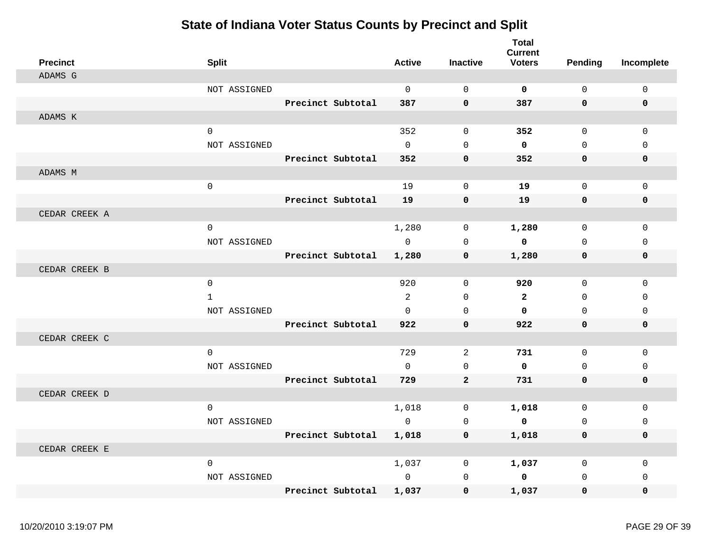| <b>Precinct</b> | <b>Split</b> |                   | <b>Active</b>  | <b>Inactive</b>     | <b>Total</b><br><b>Current</b><br><b>Voters</b> | <b>Pending</b> | Incomplete  |
|-----------------|--------------|-------------------|----------------|---------------------|-------------------------------------------------|----------------|-------------|
| ADAMS G         |              |                   |                |                     |                                                 |                |             |
|                 | NOT ASSIGNED |                   | $\mathbf 0$    | $\mathbf 0$         | $\mathbf 0$                                     | $\mathbf 0$    | 0           |
|                 |              | Precinct Subtotal | 387            | $\mathbf 0$         | 387                                             | 0              | $\mathbf 0$ |
| ADAMS K         |              |                   |                |                     |                                                 |                |             |
|                 | 0            |                   | 352            | $\mathbf 0$         | 352                                             | 0              | $\mathbf 0$ |
|                 | NOT ASSIGNED |                   | $\mathbf 0$    | $\Omega$            | $\mathbf 0$                                     | 0              | $\mathbf 0$ |
|                 |              | Precinct Subtotal | 352            | $\mathbf 0$         | 352                                             | 0              | 0           |
| ADAMS M         |              |                   |                |                     |                                                 |                |             |
|                 | $\mathsf 0$  |                   | 19             | $\mathsf{O}\xspace$ | 19                                              | 0              | $\mathbf 0$ |
|                 |              | Precinct Subtotal | 19             | $\pmb{0}$           | 19                                              | 0              | 0           |
| CEDAR CREEK A   |              |                   |                |                     |                                                 |                |             |
|                 | $\mathsf 0$  |                   | 1,280          | $\mathbf 0$         | 1,280                                           | 0              | $\mathbf 0$ |
|                 | NOT ASSIGNED |                   | $\Omega$       | $\Omega$            | $\mathbf 0$                                     | $\Omega$       | $\mathsf 0$ |
|                 |              | Precinct Subtotal | 1,280          | $\mathbf 0$         | 1,280                                           | 0              | 0           |
| CEDAR CREEK B   |              |                   |                |                     |                                                 |                |             |
|                 | $\mathbf 0$  |                   | 920            | $\mathbf{0}$        | 920                                             | 0              | $\Omega$    |
|                 | $\mathbf{1}$ |                   | $\overline{2}$ | $\mathbf 0$         | $\mathbf{2}$                                    | 0              | $\Omega$    |
|                 | NOT ASSIGNED |                   | $\Omega$       | $\Omega$            | $\mathbf 0$                                     | $\Omega$       | $\Omega$    |
|                 |              | Precinct Subtotal | 922            | $\Omega$            | 922                                             | 0              | $\mathbf 0$ |
| CEDAR CREEK C   |              |                   |                |                     |                                                 |                |             |
|                 | $\mathbf 0$  |                   | 729            | 2                   | 731                                             | 0              | $\mathbf 0$ |
|                 | NOT ASSIGNED |                   | $\Omega$       | $\Omega$            | $\mathbf 0$                                     | 0              | $\mathbf 0$ |
|                 |              | Precinct Subtotal | 729            | $\overline{a}$      | 731                                             | 0              | $\mathbf 0$ |
| CEDAR CREEK D   |              |                   |                |                     |                                                 |                |             |
|                 | $\mathsf 0$  |                   | 1,018          | 0                   | 1,018                                           | 0              | $\mathbf 0$ |
|                 | NOT ASSIGNED |                   | $\mathbf{0}$   | $\mathbf 0$         | $\mathbf 0$                                     | 0              | $\mathbf 0$ |
|                 |              | Precinct Subtotal | 1,018          | 0                   | 1,018                                           | 0              | 0           |
| CEDAR CREEK E   |              |                   |                |                     |                                                 |                |             |
|                 | $\mathbf 0$  |                   | 1,037          | 0                   | 1,037                                           | 0              | 0           |
|                 | NOT ASSIGNED |                   | $\mathbf 0$    | $\mathbf 0$         | $\mathbf 0$                                     | 0              | $\mathbf 0$ |
|                 |              | Precinct Subtotal | 1,037          | $\mathbf 0$         | 1,037                                           | 0              | 0           |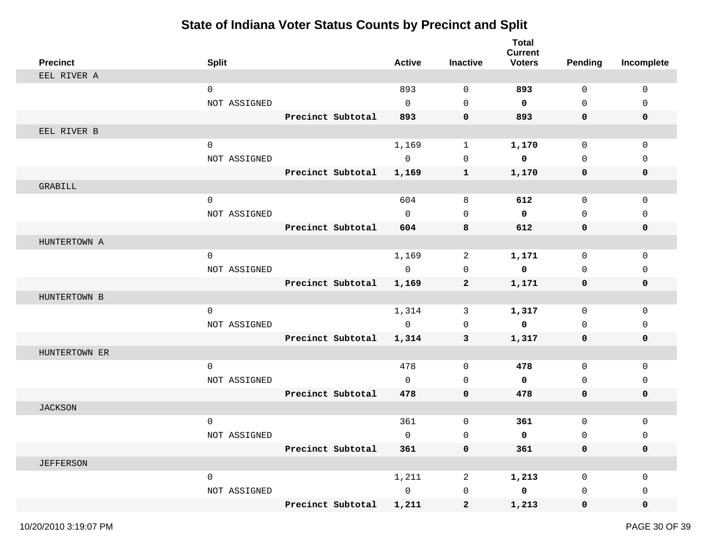| <b>Precinct</b>  | <b>Split</b> |                   | <b>Active</b> | <b>Inactive</b>     | <b>Total</b><br><b>Current</b><br><b>Voters</b> | <b>Pending</b> | Incomplete   |
|------------------|--------------|-------------------|---------------|---------------------|-------------------------------------------------|----------------|--------------|
| EEL RIVER A      |              |                   |               |                     |                                                 |                |              |
|                  | $\mathbf 0$  |                   | 893           | $\mathbf 0$         | 893                                             | $\mathbf 0$    | $\mathbf 0$  |
|                  | NOT ASSIGNED |                   | $\mathbf 0$   | $\mathbf 0$         | 0                                               | $\mathbf 0$    | 0            |
|                  |              | Precinct Subtotal | 893           | $\mathbf 0$         | 893                                             | $\mathbf 0$    | 0            |
| EEL RIVER B      |              |                   |               |                     |                                                 |                |              |
|                  | $\mathbf 0$  |                   | 1,169         | $\mathbf{1}$        | 1,170                                           | $\mathbf 0$    | $\mathbf 0$  |
|                  | NOT ASSIGNED |                   | $\mathbf 0$   | $\mathbf 0$         | 0                                               | $\mathbf 0$    | 0            |
|                  |              | Precinct Subtotal | 1,169         | $\mathbf{1}$        | 1,170                                           | $\mathbf 0$    | 0            |
| GRABILL          |              |                   |               |                     |                                                 |                |              |
|                  | $\mathbf 0$  |                   | 604           | 8                   | 612                                             | $\mathbf 0$    | 0            |
|                  | NOT ASSIGNED |                   | $\Omega$      | $\mathbf 0$         | 0                                               | $\mathbf 0$    | 0            |
|                  |              | Precinct Subtotal | 604           | 8                   | 612                                             | $\mathbf 0$    | $\mathbf 0$  |
| HUNTERTOWN A     |              |                   |               |                     |                                                 |                |              |
|                  | 0            |                   | 1,169         | 2                   | 1,171                                           | $\mathbf 0$    | 0            |
|                  | NOT ASSIGNED |                   | $\mathsf{O}$  | 0                   | $\mathbf 0$                                     | $\mathbf 0$    | 0            |
|                  |              | Precinct Subtotal | 1,169         | $\mathbf{2}$        | 1,171                                           | 0              | 0            |
| HUNTERTOWN B     |              |                   |               |                     |                                                 |                |              |
|                  | 0            |                   | 1,314         | 3                   | 1,317                                           | $\mathbf 0$    | $\mathbf 0$  |
|                  | NOT ASSIGNED |                   | $\mathsf{O}$  | 0                   | $\mathbf 0$                                     | $\mathbf 0$    | 0            |
|                  |              | Precinct Subtotal | 1,314         | 3                   | 1,317                                           | 0              | 0            |
| HUNTERTOWN ER    |              |                   |               |                     |                                                 |                |              |
|                  | $\mathbf 0$  |                   | 478           | $\mathbf 0$         | 478                                             | $\mathbf 0$    | $\mathbf 0$  |
|                  | NOT ASSIGNED |                   | $\mathbf 0$   | $\mathbf 0$         | 0                                               | $\mathbf 0$    | 0            |
|                  |              | Precinct Subtotal | 478           | $\mathbf 0$         | 478                                             | $\mathbf 0$    | 0            |
| <b>JACKSON</b>   |              |                   |               |                     |                                                 |                |              |
|                  | $\mathbf 0$  |                   | 361           | 0                   | 361                                             | $\mathbf 0$    | $\mathbf{0}$ |
|                  | NOT ASSIGNED |                   | 0             | 0                   | 0                                               | $\mathbf 0$    | $\mathbf{0}$ |
|                  |              | Precinct Subtotal | 361           | $\mathbf 0$         | 361                                             | $\mathbf 0$    | $\mathbf 0$  |
| <b>JEFFERSON</b> |              |                   |               |                     |                                                 |                |              |
|                  | $\mathsf{O}$ |                   | 1,211         | $\overline{a}$      | 1,213                                           | 0              | 0            |
|                  | NOT ASSIGNED |                   | $\mathsf{O}$  | $\mathsf{O}\xspace$ | $\mathbf 0$                                     | 0              | 0            |
|                  |              | Precinct Subtotal | 1,211         | $\mathbf{2}$        | 1,213                                           | $\mathbf{0}$   | 0            |
|                  |              |                   |               |                     |                                                 |                |              |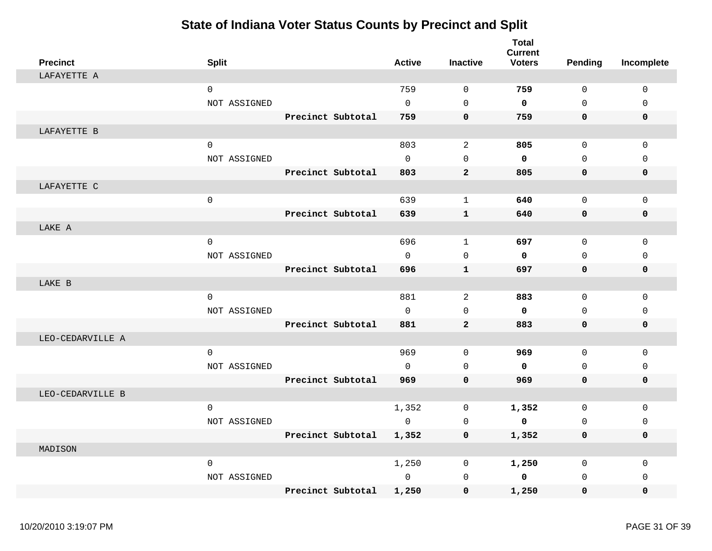| <b>Precinct</b>  | <b>Split</b> |                   | <b>Active</b> | <b>Inactive</b> | <b>Total</b><br><b>Current</b><br><b>Voters</b> | Pending     | Incomplete  |
|------------------|--------------|-------------------|---------------|-----------------|-------------------------------------------------|-------------|-------------|
| LAFAYETTE A      |              |                   |               |                 |                                                 |             |             |
|                  | $\mathbf 0$  |                   | 759           | $\Omega$        | 759                                             | $\Omega$    | $\mathbf 0$ |
|                  | NOT ASSIGNED |                   | $\Omega$      | $\Omega$        | $\mathbf 0$                                     | $\Omega$    | $\Omega$    |
|                  |              | Precinct Subtotal | 759           | $\mathbf 0$     | 759                                             | 0           | $\mathbf 0$ |
| LAFAYETTE B      |              |                   |               |                 |                                                 |             |             |
|                  | $\mathbf 0$  |                   | 803           | 2               | 805                                             | $\mathbf 0$ | $\Omega$    |
|                  | NOT ASSIGNED |                   | $\Omega$      | $\Omega$        | $\mathbf 0$                                     | $\Omega$    | $\Omega$    |
|                  |              | Precinct Subtotal | 803           | $\overline{a}$  | 805                                             | 0           | $\mathbf 0$ |
| LAFAYETTE C      |              |                   |               |                 |                                                 |             |             |
|                  | $\mathbf 0$  |                   | 639           | $\mathbf{1}$    | 640                                             | $\mathbf 0$ | $\mathbf 0$ |
|                  |              | Precinct Subtotal | 639           | $\mathbf{1}$    | 640                                             | 0           | $\mathbf 0$ |
| LAKE A           |              |                   |               |                 |                                                 |             |             |
|                  | 0            |                   | 696           | $\mathbf 1$     | 697                                             | $\mathbf 0$ | $\mathbf 0$ |
|                  | NOT ASSIGNED |                   | $\Omega$      | $\Omega$        | $\mathbf 0$                                     | $\Omega$    | $\mathbf 0$ |
|                  |              | Precinct Subtotal | 696           | $\mathbf{1}$    | 697                                             | 0           | $\mathbf 0$ |
| LAKE B           |              |                   |               |                 |                                                 |             |             |
|                  | $\mathbf 0$  |                   | 881           | 2               | 883                                             | $\mathbf 0$ | $\mathbf 0$ |
|                  | NOT ASSIGNED |                   | $\Omega$      | $\Omega$        | $\mathbf 0$                                     | $\Omega$    | $\Omega$    |
|                  |              | Precinct Subtotal | 881           | $\overline{2}$  | 883                                             | 0           | $\mathbf 0$ |
| LEO-CEDARVILLE A |              |                   |               |                 |                                                 |             |             |
|                  | 0            |                   | 969           | $\mathbf 0$     | 969                                             | $\mathbf 0$ | $\mathbf 0$ |
|                  | NOT ASSIGNED |                   | $\Omega$      | $\mathbf 0$     | $\mathbf 0$                                     | $\mathbf 0$ | $\mathbf 0$ |
|                  |              | Precinct Subtotal | 969           | $\mathbf 0$     | 969                                             | 0           | $\mathbf 0$ |
| LEO-CEDARVILLE B |              |                   |               |                 |                                                 |             |             |
|                  | $\mathsf 0$  |                   | 1,352         | $\mathbf 0$     | 1,352                                           | 0           | $\mathbf 0$ |
|                  | NOT ASSIGNED |                   | $\mathbf 0$   | $\mathbf 0$     | $\mathbf 0$                                     | $\mathbf 0$ | $\mathbf 0$ |
|                  |              | Precinct Subtotal | 1,352         | 0               | 1,352                                           | 0           | $\mathbf 0$ |
| MADISON          |              |                   |               |                 |                                                 |             |             |
|                  | 0            |                   | 1,250         | $\mathbf 0$     | 1,250                                           | 0           | 0           |
|                  | NOT ASSIGNED |                   | $\Omega$      | $\mathbf 0$     | $\mathbf 0$                                     | $\mathbf 0$ | $\Omega$    |
|                  |              | Precinct Subtotal | 1,250         | $\mathbf 0$     | 1,250                                           | 0           | $\mathbf 0$ |
|                  |              |                   |               |                 |                                                 |             |             |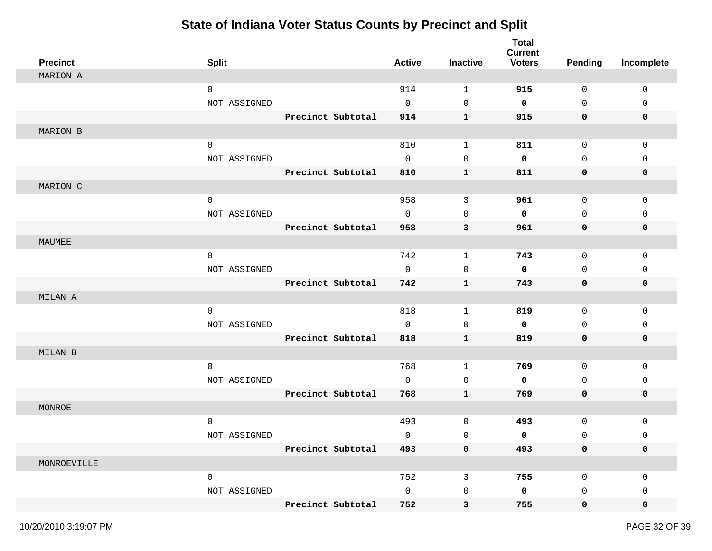| <b>Precinct</b> | <b>Split</b> |                   | <b>Active</b>       | <b>Inactive</b> | <b>Total</b><br><b>Current</b><br><b>Voters</b> | <b>Pending</b> | Incomplete   |
|-----------------|--------------|-------------------|---------------------|-----------------|-------------------------------------------------|----------------|--------------|
| MARION A        |              |                   |                     |                 |                                                 |                |              |
|                 | 0            |                   | 914                 | $\mathbf{1}$    | 915                                             | 0              | 0            |
|                 | NOT ASSIGNED |                   | $\mathsf{O}$        | 0               | 0                                               | $\mathbf 0$    | 0            |
|                 |              | Precinct Subtotal | 914                 | $\mathbf 1$     | 915                                             | $\mathbf 0$    | $\mathbf 0$  |
| MARION B        |              |                   |                     |                 |                                                 |                |              |
|                 | $\mathbf 0$  |                   | 810                 | $\mathbf{1}$    | 811                                             | 0              | $\mathbf 0$  |
|                 | NOT ASSIGNED |                   | 0                   | 0               | 0                                               | $\mathbf 0$    | $\mathbf{0}$ |
|                 |              | Precinct Subtotal | 810                 | ${\bf 1}$       | 811                                             | $\mathbf 0$    | 0            |
| MARION C        |              |                   |                     |                 |                                                 |                |              |
|                 | $\mathsf{O}$ |                   | 958                 | 3               | 961                                             | $\mathsf{O}$   | 0            |
|                 | NOT ASSIGNED |                   | $\mathbf 0$         | $\mathbf 0$     | 0                                               | $\mathbf 0$    | $\mathbf{0}$ |
|                 |              | Precinct Subtotal | 958                 | 3               | 961                                             | $\mathbf 0$    | 0            |
| MAUMEE          |              |                   |                     |                 |                                                 |                |              |
|                 | 0            |                   | 742                 | $\mathbf{1}$    | 743                                             | 0              | 0            |
|                 | NOT ASSIGNED |                   | 0                   | 0               | 0                                               | $\mathbf 0$    | 0            |
|                 |              | Precinct Subtotal | 742                 | $\mathbf 1$     | 743                                             | $\mathbf 0$    | 0            |
| MILAN A         |              |                   |                     |                 |                                                 |                |              |
|                 | 0            |                   | 818                 | $\mathbf{1}$    | 819                                             | 0              | 0            |
|                 | NOT ASSIGNED |                   | 0                   | 0               | 0                                               | $\mathbf 0$    | 0            |
|                 |              | Precinct Subtotal | 818                 | $\mathbf 1$     | 819                                             | 0              | 0            |
| MILAN B         |              |                   |                     |                 |                                                 |                |              |
|                 | 0            |                   | 768                 | $\mathbf{1}$    | 769                                             | 0              | $\mathbf 0$  |
|                 | NOT ASSIGNED |                   | 0                   | 0               | 0                                               | $\mathbf 0$    | 0            |
|                 |              | Precinct Subtotal | 768                 | ${\bf 1}$       | 769                                             | $\mathbf 0$    | 0            |
| MONROE          |              |                   |                     |                 |                                                 |                |              |
|                 | $\mathbf 0$  |                   | 493                 | 0               | 493                                             | $\mathbf 0$    | 0            |
|                 | NOT ASSIGNED |                   | 0                   | 0               | 0                                               | $\mathbf 0$    | 0            |
|                 |              | Precinct Subtotal | 493                 | $\pmb{0}$       | 493                                             | $\mathbf 0$    | 0            |
| MONROEVILLE     |              |                   |                     |                 |                                                 |                |              |
|                 | $\mathsf{O}$ |                   | 752                 | $\mathbf{3}$    | 755                                             | $\mathsf{O}$   | $\mathbf 0$  |
|                 | NOT ASSIGNED |                   | $\mathsf{O}\xspace$ | 0               | 0                                               | 0              | 0            |
|                 |              | Precinct Subtotal | 752                 | $\mathbf{3}$    | 755                                             | $\mathbf 0$    | 0            |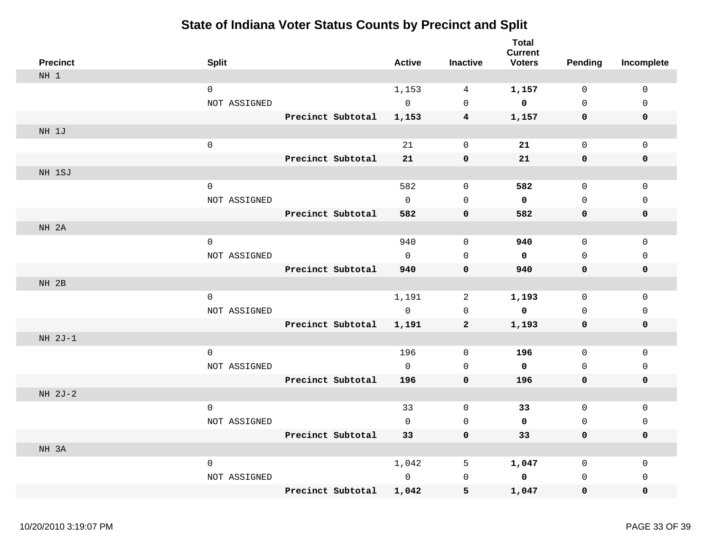| <b>Precinct</b> | <b>Split</b>        |                   | <b>Active</b> | <b>Inactive</b> | <b>Total</b><br><b>Current</b><br><b>Voters</b> | <b>Pending</b> | Incomplete  |
|-----------------|---------------------|-------------------|---------------|-----------------|-------------------------------------------------|----------------|-------------|
| NH 1            |                     |                   |               |                 |                                                 |                |             |
|                 | $\mathbf 0$         |                   | 1,153         | 4               | 1,157                                           | 0              | 0           |
|                 | NOT ASSIGNED        |                   | $\mathbf 0$   | $\mathbf 0$     | $\mathbf 0$                                     | $\mathbf 0$    | $\mathbf 0$ |
|                 |                     | Precinct Subtotal | 1,153         | $4\phantom{1}$  | 1,157                                           | 0              | 0           |
| NH 1J           |                     |                   |               |                 |                                                 |                |             |
|                 | $\mathbf 0$         |                   | 21            | $\mathbf 0$     | 21                                              | $\mathsf{O}$   | 0           |
|                 |                     | Precinct Subtotal | 21            | $\mathbf 0$     | 21                                              | $\pmb{0}$      | 0           |
| NH 1SJ          |                     |                   |               |                 |                                                 |                |             |
|                 | $\mathsf{O}\xspace$ |                   | 582           | $\mathsf 0$     | 582                                             | $\mathbf 0$    | $\mathsf 0$ |
|                 | NOT ASSIGNED        |                   | $\mathsf{O}$  | 0               | 0                                               | $\mathsf{O}$   | $\Omega$    |
|                 |                     | Precinct Subtotal | 582           | $\mathbf 0$     | 582                                             | 0              | 0           |
| NH 2A           |                     |                   |               |                 |                                                 |                |             |
|                 | $\mathbf 0$         |                   | 940           | $\mathbf 0$     | 940                                             | $\mathbf 0$    | $\mathbf 0$ |
|                 | NOT ASSIGNED        |                   | $\Omega$      | $\mathbf 0$     | 0                                               | $\mathbf 0$    | $\mathbf 0$ |
|                 |                     | Precinct Subtotal | 940           | $\mathbf 0$     | 940                                             | 0              | 0           |
| NH 2B           |                     |                   |               |                 |                                                 |                |             |
|                 | $\mathbf 0$         |                   | 1,191         | 2               | 1,193                                           | 0              | $\mathsf 0$ |
|                 | NOT ASSIGNED        |                   | $\mathbf 0$   | $\mathbf 0$     | $\mathbf 0$                                     | $\mathbf 0$    | $\mathbf 0$ |
|                 |                     | Precinct Subtotal | 1,191         | $\mathbf{2}$    | 1,193                                           | 0              | 0           |
| $NH 2J-1$       |                     |                   |               |                 |                                                 |                |             |
|                 | $\mathbf 0$         |                   | 196           | 0               | 196                                             | $\mathbf 0$    | 0           |
|                 | NOT ASSIGNED        |                   | $\mathbf 0$   | $\mathbf 0$     | $\mathbf 0$                                     | $\mathbf 0$    | $\mathbf 0$ |
|                 |                     | Precinct Subtotal | 196           | $\mathbf 0$     | 196                                             | 0              | 0           |
| NH 2J-2         |                     |                   |               |                 |                                                 |                |             |
|                 | $\mathbf 0$         |                   | 33            | $\mathbf 0$     | 33                                              | 0              | 0           |
|                 | NOT ASSIGNED        |                   | $\mathbf 0$   | $\mathbf 0$     | 0                                               | $\mathbf 0$    | $\mathbf 0$ |
|                 |                     | Precinct Subtotal | 33            | $\mathbf 0$     | 33                                              | 0              | 0           |
| NH 3A           |                     |                   |               |                 |                                                 |                |             |
|                 | $\mathbf 0$         |                   | 1,042         | 5               | 1,047                                           | $\mathbf 0$    | $\mathsf 0$ |
|                 | NOT ASSIGNED        |                   | $\mathbf 0$   | $\mathbf 0$     | 0                                               | $\mathbf 0$    | 0           |
|                 |                     | Precinct Subtotal | 1,042         | 5               | 1,047                                           | 0              | 0           |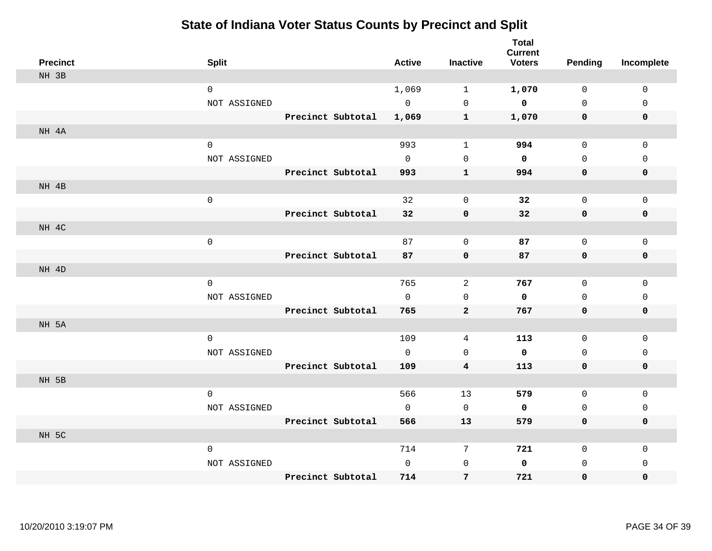| <b>Precinct</b> | <b>Split</b>        |                   | <b>Active</b> | <b>Inactive</b>     | <b>Total</b><br><b>Current</b><br><b>Voters</b> | Pending             | Incomplete   |
|-----------------|---------------------|-------------------|---------------|---------------------|-------------------------------------------------|---------------------|--------------|
| NH 3B           |                     |                   |               |                     |                                                 |                     |              |
|                 | $\mathbf 0$         |                   | 1,069         | $\mathbf{1}$        | 1,070                                           | $\mathbf 0$         | 0            |
|                 | NOT ASSIGNED        |                   | $\mathbf 0$   | $\mathsf{O}\xspace$ | $\mathbf 0$                                     | $\mathbf{0}$        | $\mathsf 0$  |
|                 |                     | Precinct Subtotal | 1,069         | $\mathbf{1}$        | 1,070                                           | 0                   | 0            |
| NH 4A           |                     |                   |               |                     |                                                 |                     |              |
|                 | $\mathsf{O}\xspace$ |                   | 993           | $\mathbf{1}$        | 994                                             | $\mathsf{O}\xspace$ | $\mathsf 0$  |
|                 | NOT ASSIGNED        |                   | $\mathbf 0$   | 0                   | 0                                               | $\mathbf 0$         | $\mathbf 0$  |
|                 |                     | Precinct Subtotal | 993           | ${\bf 1}$           | 994                                             | 0                   | 0            |
| NH 4B           |                     |                   |               |                     |                                                 |                     |              |
|                 | $\mathbf 0$         |                   | 32            | 0                   | 32                                              | $\mathsf{O}$        | 0            |
|                 |                     | Precinct Subtotal | 32            | 0                   | 32                                              | 0                   | 0            |
| NH 4C           |                     |                   |               |                     |                                                 |                     |              |
|                 | $\mathsf{O}\xspace$ |                   | 87            | 0                   | 87                                              | 0                   | 0            |
|                 |                     | Precinct Subtotal | 87            | $\mathbf 0$         | 87                                              | 0                   | 0            |
| NH 4D           |                     |                   |               |                     |                                                 |                     |              |
|                 | $\mathsf{O}\xspace$ |                   | 765           | 2                   | 767                                             | $\mathbf 0$         | $\mathbf 0$  |
|                 | NOT ASSIGNED        |                   | $\Omega$      | $\mathbf 0$         | 0                                               | $\mathbf 0$         | $\mathbf 0$  |
|                 |                     | Precinct Subtotal | 765           | $\overline{a}$      | 767                                             | $\mathbf 0$         | 0            |
| NH 5A           |                     |                   |               |                     |                                                 |                     |              |
|                 | $\mathbf 0$         |                   | 109           | 4                   | 113                                             | $\mathbf 0$         | $\mathbf{0}$ |
|                 | NOT ASSIGNED        |                   | $\mathbf 0$   | $\mathbf 0$         | 0                                               | $\mathbf{0}$        | $\mathsf 0$  |
|                 |                     | Precinct Subtotal | 109           | 4                   | 113                                             | $\mathsf{O}\xspace$ | $\pmb{0}$    |
| NH 5B           |                     |                   |               |                     |                                                 |                     |              |
|                 | $\mathsf 0$         |                   | 566           | 13                  | 579                                             | $\mathbf 0$         | 0            |
|                 | NOT ASSIGNED        |                   | $\mathbf 0$   | $\mathbf 0$         | 0                                               | $\mathsf{O}$        | $\mathbf 0$  |
|                 |                     | Precinct Subtotal | 566           | 13                  | 579                                             | 0                   | 0            |
| NH 5C           |                     |                   |               |                     |                                                 |                     |              |
|                 | $\mathbf 0$         |                   | 714           | 7                   | 721                                             | $\mathsf{O}$        | $\mathbf 0$  |
|                 | NOT ASSIGNED        |                   | $\mathbf 0$   | $\mathsf{O}$        | 0                                               | 0                   | $\mathbf 0$  |
|                 |                     | Precinct Subtotal | 714           | 7                   | 721                                             | 0                   | 0            |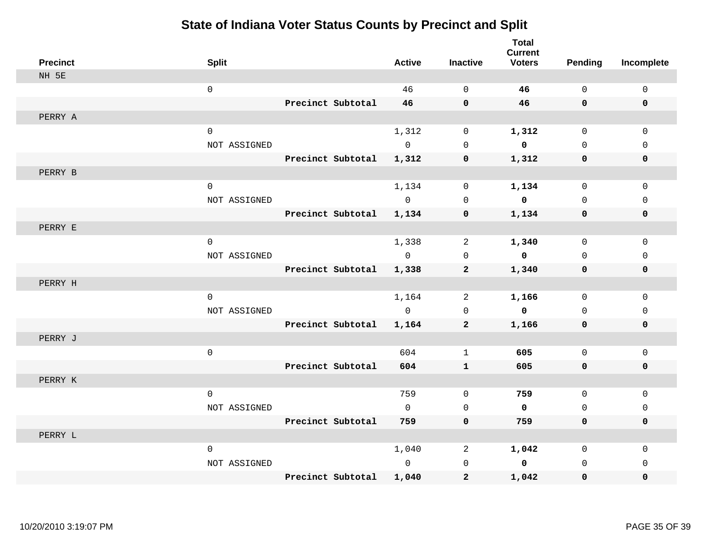| <b>Precinct</b> | <b>Split</b> |                   | <b>Active</b>  | <b>Inactive</b> | <b>Total</b><br><b>Current</b><br><b>Voters</b> | <b>Pending</b> | Incomplete  |
|-----------------|--------------|-------------------|----------------|-----------------|-------------------------------------------------|----------------|-------------|
| NH 5E           |              |                   |                |                 |                                                 |                |             |
|                 | $\mathsf 0$  |                   | 46             | $\mathbf 0$     | 46                                              | $\mathsf{O}$   | $\mathsf 0$ |
|                 |              | Precinct Subtotal | 46             | $\mathbf 0$     | 46                                              | $\mathbf 0$    | $\mathbf 0$ |
| PERRY A         |              |                   |                |                 |                                                 |                |             |
|                 | $\mathbf 0$  |                   | 1,312          | $\mathbf 0$     | 1,312                                           | $\mathbf 0$    | $\mathbf 0$ |
|                 | NOT ASSIGNED |                   | $\overline{0}$ | $\mathbf 0$     | $\overline{\mathbf{0}}$                         | 0              | $\mathbf 0$ |
|                 |              | Precinct Subtotal | 1,312          | $\mathbf 0$     | 1,312                                           | 0              | 0           |
| PERRY B         |              |                   |                |                 |                                                 |                |             |
|                 | $\mathbf 0$  |                   | 1,134          | $\mathsf{O}$    | 1,134                                           | 0              | $\mathsf 0$ |
|                 | NOT ASSIGNED |                   | $\mathbf{0}$   | $\Omega$        | $\mathbf 0$                                     | $\Omega$       | $\mathbf 0$ |
|                 |              | Precinct Subtotal | 1,134          | $\mathbf 0$     | 1,134                                           | 0              | $\mathbf 0$ |
| PERRY E         |              |                   |                |                 |                                                 |                |             |
|                 | $\mathbf 0$  |                   | 1,338          | 2               | 1,340                                           | $\mathbf 0$    | $\mathbf 0$ |
|                 | NOT ASSIGNED |                   | $\Omega$       | $\Omega$        | $\overline{\mathbf{0}}$                         | $\Omega$       | $\Omega$    |
|                 |              | Precinct Subtotal | 1,338          | $\overline{2}$  | 1,340                                           | 0              | $\mathbf 0$ |
| PERRY H         |              |                   |                |                 |                                                 |                |             |
|                 | $\mathbf{0}$ |                   | 1,164          | 2               | 1,166                                           | $\mathbf 0$    | $\mathbf 0$ |
|                 | NOT ASSIGNED |                   | $\overline{0}$ | $\mathsf 0$     | $\overline{\mathbf{0}}$                         | $\mathsf{O}$   | $\mathsf 0$ |
|                 |              | Precinct Subtotal | 1,164          | $\mathbf{2}$    | 1,166                                           | 0              | 0           |
| PERRY J         |              |                   |                |                 |                                                 |                |             |
|                 | $\mathsf 0$  |                   | 604            | $\mathbf 1$     | 605                                             | $\mathbf 0$    | $\mathsf 0$ |
|                 |              | Precinct Subtotal | 604            | $\mathbf{1}$    | 605                                             | 0              | 0           |
| PERRY K         |              |                   |                |                 |                                                 |                |             |
|                 | $\mathsf 0$  |                   | 759            | $\mathbf 0$     | 759                                             | $\mathbf 0$    | $\mathsf 0$ |
|                 | NOT ASSIGNED |                   | $\mathbf 0$    | $\mathbf 0$     | $\mathbf 0$                                     | 0              | $\Omega$    |
|                 |              | Precinct Subtotal | 759            | $\mathbf 0$     | 759                                             | 0              | 0           |
| PERRY L         |              |                   |                |                 |                                                 |                |             |
|                 | $\mathbf 0$  |                   | 1,040          | 2               | 1,042                                           | 0              | 0           |
|                 | NOT ASSIGNED |                   | $\mathbf 0$    | 0               | $\mathbf 0$                                     | 0              | $\mathbf 0$ |
|                 |              | Precinct Subtotal | 1,040          | $\mathbf{2}$    | 1,042                                           | 0              | $\Omega$    |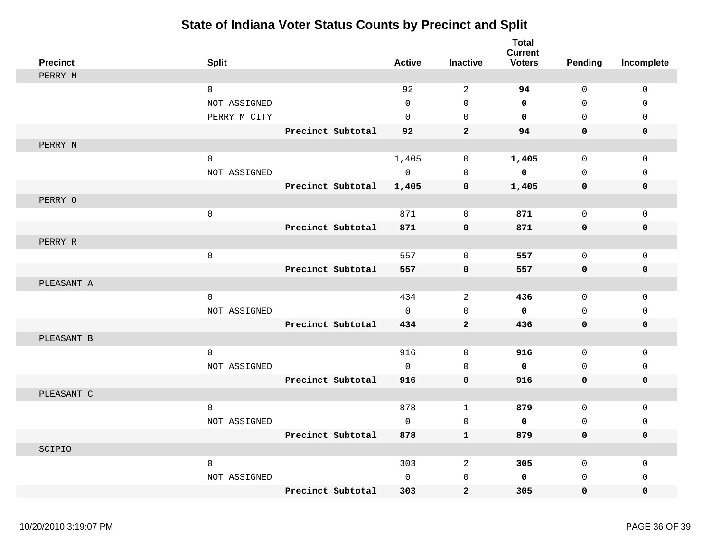| <b>Precinct</b> | <b>Split</b>        |                   | <b>Active</b> | <b>Inactive</b>     | <b>Total</b><br><b>Current</b><br><b>Voters</b> | <b>Pending</b>      | Incomplete  |
|-----------------|---------------------|-------------------|---------------|---------------------|-------------------------------------------------|---------------------|-------------|
| PERRY M         |                     |                   |               |                     |                                                 |                     |             |
|                 | $\mathbf 0$         |                   | 92            | $\sqrt{2}$          | 94                                              | $\mathbf 0$         | $\mathbf 0$ |
|                 | NOT ASSIGNED        |                   | $\Omega$      | $\Omega$            | $\mathbf 0$                                     | $\Omega$            | $\Omega$    |
|                 | PERRY M CITY        |                   | $\Omega$      | $\mathbf 0$         | $\mathbf 0$                                     | $\Omega$            | $\mathbf 0$ |
|                 |                     | Precinct Subtotal | 92            | $\overline{2}$      | 94                                              | $\mathbf 0$         | $\mathbf 0$ |
| PERRY N         |                     |                   |               |                     |                                                 |                     |             |
|                 | $\Omega$            |                   | 1,405         | $\mathbf 0$         | 1,405                                           | $\mathbf 0$         | $\mathbf 0$ |
|                 | NOT ASSIGNED        |                   | $\mathbf 0$   | $\mathbf 0$         | 0                                               | $\mathbf 0$         | $\mathbf 0$ |
|                 |                     | Precinct Subtotal | 1,405         | $\pmb{0}$           | 1,405                                           | $\mathsf{O}\xspace$ | $\pmb{0}$   |
| PERRY O         |                     |                   |               |                     |                                                 |                     |             |
|                 | $\mathsf{O}\xspace$ |                   | 871           | $\mathbf 0$         | 871                                             | $\mathbf 0$         | $\mathbf 0$ |
|                 |                     | Precinct Subtotal | 871           | $\mathbf 0$         | 871                                             | 0                   | 0           |
| PERRY R         |                     |                   |               |                     |                                                 |                     |             |
|                 | $\mathsf{O}\xspace$ |                   | 557           | $\mathbf 0$         | 557                                             | $\mathsf{O}$        | $\mathbf 0$ |
|                 |                     | Precinct Subtotal | 557           | $\mathbf 0$         | 557                                             | $\mathbf 0$         | 0           |
| PLEASANT A      |                     |                   |               |                     |                                                 |                     |             |
|                 | $\mathsf{O}$        |                   | 434           | $\sqrt{2}$          | 436                                             | $\mathsf{O}$        | $\mathsf 0$ |
|                 | NOT ASSIGNED        |                   | $\Omega$      | $\Omega$            | $\mathbf 0$                                     | $\Omega$            | $\Omega$    |
|                 |                     | Precinct Subtotal | 434           | $\mathbf{2}$        | 436                                             | 0                   | 0           |
| PLEASANT B      |                     |                   |               |                     |                                                 |                     |             |
|                 | $\mathbf 0$         |                   | 916           | $\mathsf{O}\xspace$ | 916                                             | $\mathsf{O}$        | $\mathsf 0$ |
|                 | NOT ASSIGNED        |                   | $\Omega$      | $\Omega$            | $\mathbf 0$                                     | $\Omega$            |             |
|                 |                     |                   |               | $\mathbf 0$         |                                                 |                     | 0           |
| PLEASANT C      |                     | Precinct Subtotal | 916           |                     | 916                                             | $\mathbf 0$         | 0           |
|                 |                     |                   |               |                     |                                                 |                     |             |
|                 | $\mathbf 0$         |                   | 878           | $\mathbf{1}$        | 879                                             | $\mathsf{O}$        | $\mathsf 0$ |
|                 | NOT ASSIGNED        |                   | $\mathbf 0$   | $\mathbf 0$         | 0                                               | $\mathbf 0$         | $\mathbf 0$ |
|                 |                     | Precinct Subtotal | 878           | ${\bf 1}$           | 879                                             | 0                   | 0           |
| SCIPIO          |                     |                   |               |                     |                                                 |                     |             |
|                 | $\mathbf 0$         |                   | 303           | 2                   | 305                                             | $\mathsf{O}$        | $\mathsf 0$ |
|                 | NOT ASSIGNED        |                   | $\mathbf{0}$  | $\mathbf 0$         | 0                                               | $\mathbf{0}$        | $\mathbf 0$ |
|                 |                     | Precinct Subtotal | 303           | $\mathbf{2}$        | 305                                             | $\mathbf 0$         | $\mathbf 0$ |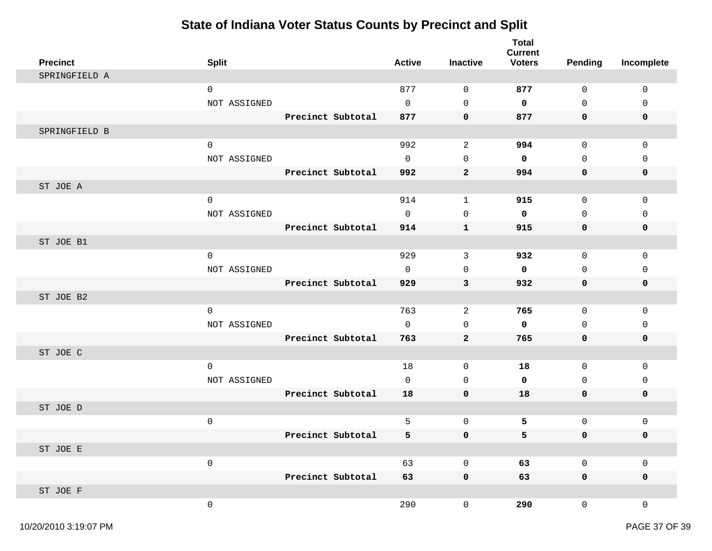| <b>Precinct</b> | <b>Split</b> |                   | <b>Active</b> | <b>Inactive</b>     | <b>Total</b><br><b>Current</b><br><b>Voters</b> | <b>Pending</b>      | Incomplete  |
|-----------------|--------------|-------------------|---------------|---------------------|-------------------------------------------------|---------------------|-------------|
| SPRINGFIELD A   |              |                   |               |                     |                                                 |                     |             |
|                 | $\mathsf 0$  |                   | 877           | 0                   | 877                                             | 0                   | 0           |
|                 | NOT ASSIGNED |                   | $\mathbf 0$   | $\mathsf{O}\xspace$ | 0                                               | $\mathsf{O}$        | 0           |
|                 |              | Precinct Subtotal | 877           | $\mathbf 0$         | 877                                             | 0                   | 0           |
| SPRINGFIELD B   |              |                   |               |                     |                                                 |                     |             |
|                 | $\mathsf 0$  |                   | 992           | $\overline{a}$      | 994                                             | 0                   | $\mathbf 0$ |
|                 | NOT ASSIGNED |                   | $\mathbf 0$   | $\mathbf 0$         | 0                                               | $\mathbf 0$         | 0           |
|                 |              | Precinct Subtotal | 992           | $\mathbf{2}$        | 994                                             | $\mathbf 0$         | $\mathbf 0$ |
| ST JOE A        |              |                   |               |                     |                                                 |                     |             |
|                 | $\mathsf 0$  |                   | 914           | $\mathbf{1}$        | 915                                             | $\mathsf{O}$        | 0           |
|                 | NOT ASSIGNED |                   | $\mathbf 0$   | $\mathbf 0$         | $\mathbf 0$                                     | $\mathbf 0$         | 0           |
|                 |              | Precinct Subtotal | 914           | 1                   | 915                                             | 0                   | 0           |
| ST JOE B1       |              |                   |               |                     |                                                 |                     |             |
|                 | 0            |                   | 929           | 3                   | 932                                             | 0                   | 0           |
|                 | NOT ASSIGNED |                   | $\mathbf 0$   | $\mathbf 0$         | $\mathbf 0$                                     | $\mathbf 0$         | 0           |
|                 |              | Precinct Subtotal | 929           | 3                   | 932                                             | 0                   | 0           |
| ST JOE B2       |              |                   |               |                     |                                                 |                     |             |
|                 | $\mathsf 0$  |                   | 763           | 2                   | 765                                             | 0                   | 0           |
|                 | NOT ASSIGNED |                   | $\mathsf{O}$  | 0                   | $\mathbf 0$                                     | 0                   | 0           |
|                 |              | Precinct Subtotal | 763           | $\mathbf{2}$        | 765                                             | 0                   | 0           |
| ST JOE C        |              |                   |               |                     |                                                 |                     |             |
|                 | $\mathsf 0$  |                   | 18            | 0                   | 18                                              | 0                   | $\mathbf 0$ |
|                 | NOT ASSIGNED |                   | $\mathbf 0$   | $\mathbf 0$         | 0                                               | $\mathbf 0$         | 0           |
|                 |              | Precinct Subtotal | 18            | $\mathbf 0$         | 18                                              | $\mathbf 0$         | 0           |
| ST JOE D        |              |                   |               |                     |                                                 |                     |             |
|                 | $\mathsf 0$  |                   | 5             | $\mathsf{O}\xspace$ | 5                                               | $\mathsf{O}$        | 0           |
|                 |              | Precinct Subtotal | 5             | 0                   | 5                                               | 0                   | 0           |
| ST JOE E        |              |                   |               |                     |                                                 |                     |             |
|                 | $\mathsf 0$  |                   | 63            | $\mathsf 0$         | 63                                              | $\mathsf{O}\xspace$ | $\mathsf 0$ |
|                 |              | Precinct Subtotal | 63            | $\pmb{0}$           | 63                                              | $\mathbf 0$         | $\mathbf 0$ |
| ST JOE F        |              |                   |               |                     |                                                 |                     |             |
|                 | $\mathsf 0$  |                   | 290           | $\mathsf 0$         | 290                                             | $\overline{0}$      | 0           |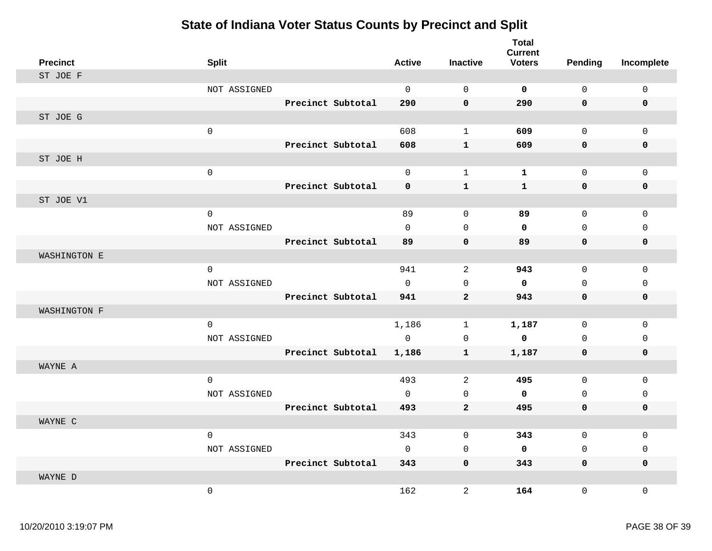| <b>Precinct</b> | <b>Split</b>        |                   | <b>Active</b>       | <b>Inactive</b> | <b>Total</b><br><b>Current</b><br><b>Voters</b> | <b>Pending</b> | Incomplete   |
|-----------------|---------------------|-------------------|---------------------|-----------------|-------------------------------------------------|----------------|--------------|
| ST JOE F        |                     |                   |                     |                 |                                                 |                |              |
|                 | NOT ASSIGNED        |                   | $\Omega$            | $\mathbf 0$     | $\mathbf 0$                                     | $\Omega$       | $\mathsf{O}$ |
|                 |                     | Precinct Subtotal | 290                 | $\mathbf 0$     | 290                                             | 0              | $\mathbf 0$  |
| ST JOE G        |                     |                   |                     |                 |                                                 |                |              |
|                 | $\mathsf 0$         |                   | 608                 | $\mathbf{1}$    | 609                                             | 0              | $\mathbf 0$  |
|                 |                     | Precinct Subtotal | 608                 | $\mathbf{1}$    | 609                                             | 0              | 0            |
| ST JOE H        |                     |                   |                     |                 |                                                 |                |              |
|                 | $\mathsf{O}\xspace$ |                   | $\mathsf{O}\xspace$ | $\mathbf{1}$    | ${\bf 1}$                                       | 0              | $\mathbf 0$  |
|                 |                     | Precinct Subtotal | $\mathbf 0$         | $\mathbf 1$     | $\mathbf{1}$                                    | $\mathbf 0$    | $\mathbf 0$  |
| ST JOE V1       |                     |                   |                     |                 |                                                 |                |              |
|                 | $\mathbf 0$         |                   | 89                  | $\mathbf{0}$    | 89                                              | 0              | $\mathbf 0$  |
|                 | NOT ASSIGNED        |                   | $\mathbf 0$         | $\mathbf 0$     | $\mathbf 0$                                     | 0              | $\mathbf 0$  |
|                 |                     | Precinct Subtotal | 89                  | $\pmb{0}$       | 89                                              | 0              | $\mathbf 0$  |
| WASHINGTON E    |                     |                   |                     |                 |                                                 |                |              |
|                 | $\mathbf 0$         |                   | 941                 | 2               | 943                                             | $\mathbf 0$    | $\mathbf 0$  |
|                 | NOT ASSIGNED        |                   | $\mathbf 0$         | $\mathbf 0$     | $\mathbf 0$                                     | 0              | $\mathbf 0$  |
|                 |                     | Precinct Subtotal | 941                 | $\mathbf{2}$    | 943                                             | 0              | 0            |
| WASHINGTON F    |                     |                   |                     |                 |                                                 |                |              |
|                 | $\mathsf{O}\xspace$ |                   | 1,186               | $\mathbf{1}$    | 1,187                                           | 0              | $\Omega$     |
|                 | NOT ASSIGNED        |                   | $\Omega$            | $\mathbf 0$     | $\mathbf 0$                                     | 0              | $\mathbf 0$  |
|                 |                     | Precinct Subtotal | 1,186               | $\mathbf{1}$    | 1,187                                           | 0              | 0            |
| WAYNE A         |                     |                   |                     |                 |                                                 |                |              |
|                 | $\mathsf 0$         |                   | 493                 | 2               | 495                                             | 0              | $\mathbf{0}$ |
|                 | NOT ASSIGNED        |                   | $\mathbf 0$         | $\mathbf 0$     | $\mathbf 0$                                     | 0              | $\mathbf 0$  |
|                 |                     | Precinct Subtotal | 493                 | $\mathbf{2}$    | 495                                             | 0              | 0            |
| WAYNE C         |                     |                   |                     |                 |                                                 |                |              |
|                 | $\mathbf 0$         |                   | 343                 | $\mathbf 0$     | 343                                             | $\mathbf 0$    | $\mathbf 0$  |
|                 | NOT ASSIGNED        |                   | $\mathbf 0$         | $\mathbf 0$     | $\mathbf 0$                                     | 0              | $\mathbf 0$  |
|                 |                     | Precinct Subtotal | 343                 | $\mathbf 0$     | 343                                             | 0              | 0            |
| WAYNE D         |                     |                   |                     |                 |                                                 |                |              |
|                 | $\mathbf 0$         |                   | 162                 | $\sqrt{2}$      | 164                                             | 0              | $\Omega$     |